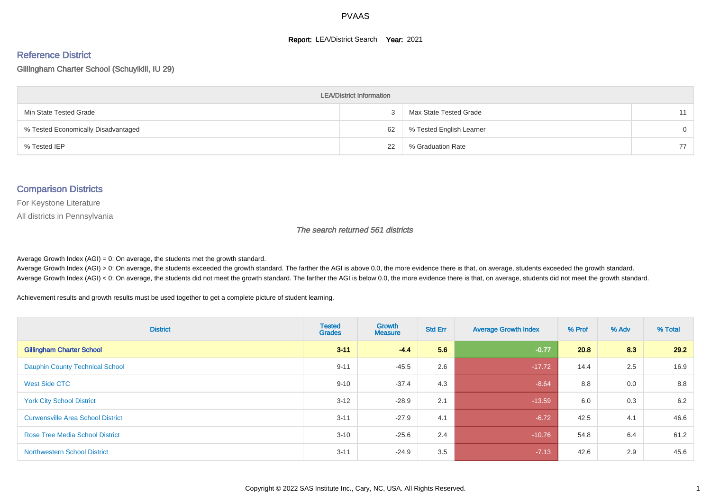#### **Report: LEA/District Search Year: 2021**

# Reference District

Gillingham Charter School (Schuylkill, IU 29)

| <b>LEA/District Information</b>     |    |                          |          |  |  |  |  |  |  |  |
|-------------------------------------|----|--------------------------|----------|--|--|--|--|--|--|--|
| Min State Tested Grade              |    | Max State Tested Grade   | 11       |  |  |  |  |  |  |  |
| % Tested Economically Disadvantaged | 62 | % Tested English Learner | $\Omega$ |  |  |  |  |  |  |  |
| % Tested IEP                        | 22 | % Graduation Rate        | 77       |  |  |  |  |  |  |  |

#### Comparison Districts

For Keystone Literature

All districts in Pennsylvania

The search returned 561 districts

Average Growth Index  $(AGI) = 0$ : On average, the students met the growth standard.

Average Growth Index (AGI) > 0: On average, the students exceeded the growth standard. The farther the AGI is above 0.0, the more evidence there is that, on average, students exceeded the growth standard. Average Growth Index (AGI) < 0: On average, the students did not meet the growth standard. The farther the AGI is below 0.0, the more evidence there is that, on average, students did not meet the growth standard.

Achievement results and growth results must be used together to get a complete picture of student learning.

| <b>District</b>                          | <b>Tested</b><br><b>Grades</b> | Growth<br><b>Measure</b> | <b>Std Err</b> | <b>Average Growth Index</b> | % Prof | % Adv | % Total |
|------------------------------------------|--------------------------------|--------------------------|----------------|-----------------------------|--------|-------|---------|
| <b>Gillingham Charter School</b>         | $3 - 11$                       | $-4.4$                   | 5.6            | $-0.77$                     | 20.8   | 8.3   | 29.2    |
| <b>Dauphin County Technical School</b>   | $9 - 11$                       | $-45.5$                  | 2.6            | $-17.72$                    | 14.4   | 2.5   | 16.9    |
| West Side CTC                            | $9 - 10$                       | $-37.4$                  | 4.3            | $-8.64$                     | 8.8    | 0.0   | 8.8     |
| <b>York City School District</b>         | $3 - 12$                       | $-28.9$                  | 2.1            | $-13.59$                    | 6.0    | 0.3   | 6.2     |
| <b>Curwensville Area School District</b> | $3 - 11$                       | $-27.9$                  | 4.1            | $-6.72$                     | 42.5   | 4.1   | 46.6    |
| <b>Rose Tree Media School District</b>   | $3 - 10$                       | $-25.6$                  | 2.4            | $-10.76$                    | 54.8   | 6.4   | 61.2    |
| <b>Northwestern School District</b>      | $3 - 11$                       | $-24.9$                  | 3.5            | $-7.13$                     | 42.6   | 2.9   | 45.6    |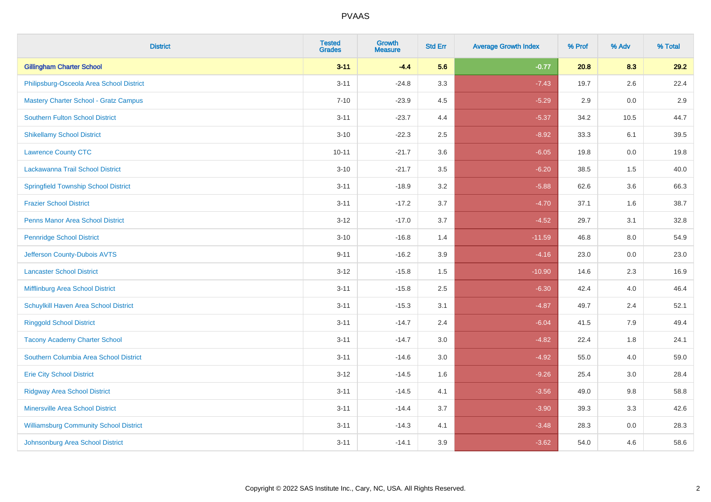| <b>District</b>                               | <b>Tested</b><br><b>Grades</b> | Growth<br><b>Measure</b> | <b>Std Err</b> | <b>Average Growth Index</b> | % Prof | % Adv | % Total |
|-----------------------------------------------|--------------------------------|--------------------------|----------------|-----------------------------|--------|-------|---------|
| <b>Gillingham Charter School</b>              | $3 - 11$                       | $-4.4$                   | 5.6            | $-0.77$                     | 20.8   | 8.3   | 29.2    |
| Philipsburg-Osceola Area School District      | $3 - 11$                       | $-24.8$                  | 3.3            | $-7.43$                     | 19.7   | 2.6   | 22.4    |
| <b>Mastery Charter School - Gratz Campus</b>  | $7 - 10$                       | $-23.9$                  | 4.5            | $-5.29$                     | 2.9    | 0.0   | 2.9     |
| <b>Southern Fulton School District</b>        | $3 - 11$                       | $-23.7$                  | 4.4            | $-5.37$                     | 34.2   | 10.5  | 44.7    |
| <b>Shikellamy School District</b>             | $3 - 10$                       | $-22.3$                  | 2.5            | $-8.92$                     | 33.3   | 6.1   | 39.5    |
| <b>Lawrence County CTC</b>                    | $10 - 11$                      | $-21.7$                  | 3.6            | $-6.05$                     | 19.8   | 0.0   | 19.8    |
| Lackawanna Trail School District              | $3 - 10$                       | $-21.7$                  | 3.5            | $-6.20$                     | 38.5   | 1.5   | 40.0    |
| <b>Springfield Township School District</b>   | $3 - 11$                       | $-18.9$                  | 3.2            | $-5.88$                     | 62.6   | 3.6   | 66.3    |
| <b>Frazier School District</b>                | $3 - 11$                       | $-17.2$                  | 3.7            | $-4.70$                     | 37.1   | 1.6   | 38.7    |
| <b>Penns Manor Area School District</b>       | $3 - 12$                       | $-17.0$                  | 3.7            | $-4.52$                     | 29.7   | 3.1   | 32.8    |
| <b>Pennridge School District</b>              | $3 - 10$                       | $-16.8$                  | 1.4            | $-11.59$                    | 46.8   | 8.0   | 54.9    |
| Jefferson County-Dubois AVTS                  | $9 - 11$                       | $-16.2$                  | 3.9            | $-4.16$                     | 23.0   | 0.0   | 23.0    |
| <b>Lancaster School District</b>              | $3 - 12$                       | $-15.8$                  | 1.5            | $-10.90$                    | 14.6   | 2.3   | 16.9    |
| Mifflinburg Area School District              | $3 - 11$                       | $-15.8$                  | 2.5            | $-6.30$                     | 42.4   | 4.0   | 46.4    |
| Schuylkill Haven Area School District         | $3 - 11$                       | $-15.3$                  | 3.1            | $-4.87$                     | 49.7   | 2.4   | 52.1    |
| <b>Ringgold School District</b>               | $3 - 11$                       | $-14.7$                  | 2.4            | $-6.04$                     | 41.5   | 7.9   | 49.4    |
| <b>Tacony Academy Charter School</b>          | $3 - 11$                       | $-14.7$                  | 3.0            | $-4.82$                     | 22.4   | 1.8   | 24.1    |
| Southern Columbia Area School District        | $3 - 11$                       | $-14.6$                  | 3.0            | $-4.92$                     | 55.0   | 4.0   | 59.0    |
| <b>Erie City School District</b>              | $3 - 12$                       | $-14.5$                  | 1.6            | $-9.26$                     | 25.4   | 3.0   | 28.4    |
| <b>Ridgway Area School District</b>           | $3 - 11$                       | $-14.5$                  | 4.1            | $-3.56$                     | 49.0   | 9.8   | 58.8    |
| Minersville Area School District              | $3 - 11$                       | $-14.4$                  | 3.7            | $-3.90$                     | 39.3   | 3.3   | 42.6    |
| <b>Williamsburg Community School District</b> | $3 - 11$                       | $-14.3$                  | 4.1            | $-3.48$                     | 28.3   | 0.0   | 28.3    |
| Johnsonburg Area School District              | $3 - 11$                       | $-14.1$                  | 3.9            | $-3.62$                     | 54.0   | 4.6   | 58.6    |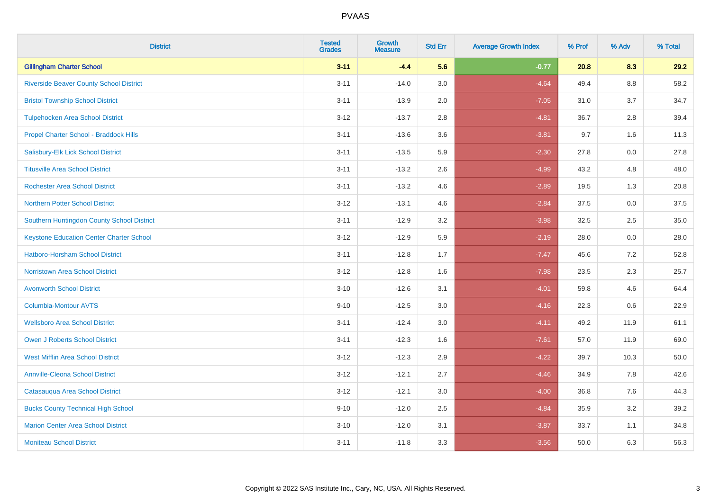| <b>District</b>                                 | <b>Tested</b><br><b>Grades</b> | <b>Growth</b><br><b>Measure</b> | <b>Std Err</b> | <b>Average Growth Index</b> | % Prof | % Adv   | % Total |
|-------------------------------------------------|--------------------------------|---------------------------------|----------------|-----------------------------|--------|---------|---------|
| <b>Gillingham Charter School</b>                | $3 - 11$                       | $-4.4$                          | 5.6            | $-0.77$                     | 20.8   | 8.3     | 29.2    |
| <b>Riverside Beaver County School District</b>  | $3 - 11$                       | $-14.0$                         | 3.0            | $-4.64$                     | 49.4   | $8.8\,$ | 58.2    |
| <b>Bristol Township School District</b>         | $3 - 11$                       | $-13.9$                         | 2.0            | $-7.05$                     | 31.0   | 3.7     | 34.7    |
| <b>Tulpehocken Area School District</b>         | $3 - 12$                       | $-13.7$                         | 2.8            | $-4.81$                     | 36.7   | 2.8     | 39.4    |
| Propel Charter School - Braddock Hills          | $3 - 11$                       | $-13.6$                         | 3.6            | $-3.81$                     | 9.7    | 1.6     | 11.3    |
| Salisbury-Elk Lick School District              | $3 - 11$                       | $-13.5$                         | 5.9            | $-2.30$                     | 27.8   | 0.0     | 27.8    |
| <b>Titusville Area School District</b>          | $3 - 11$                       | $-13.2$                         | 2.6            | $-4.99$                     | 43.2   | 4.8     | 48.0    |
| <b>Rochester Area School District</b>           | $3 - 11$                       | $-13.2$                         | 4.6            | $-2.89$                     | 19.5   | 1.3     | 20.8    |
| <b>Northern Potter School District</b>          | $3 - 12$                       | $-13.1$                         | 4.6            | $-2.84$                     | 37.5   | 0.0     | 37.5    |
| Southern Huntingdon County School District      | $3 - 11$                       | $-12.9$                         | 3.2            | $-3.98$                     | 32.5   | 2.5     | 35.0    |
| <b>Keystone Education Center Charter School</b> | $3 - 12$                       | $-12.9$                         | 5.9            | $-2.19$                     | 28.0   | 0.0     | 28.0    |
| <b>Hatboro-Horsham School District</b>          | $3 - 11$                       | $-12.8$                         | 1.7            | $-7.47$                     | 45.6   | 7.2     | 52.8    |
| <b>Norristown Area School District</b>          | $3 - 12$                       | $-12.8$                         | 1.6            | $-7.98$                     | 23.5   | $2.3\,$ | 25.7    |
| <b>Avonworth School District</b>                | $3 - 10$                       | $-12.6$                         | 3.1            | $-4.01$                     | 59.8   | 4.6     | 64.4    |
| <b>Columbia-Montour AVTS</b>                    | $9 - 10$                       | $-12.5$                         | 3.0            | $-4.16$                     | 22.3   | 0.6     | 22.9    |
| <b>Wellsboro Area School District</b>           | $3 - 11$                       | $-12.4$                         | 3.0            | $-4.11$                     | 49.2   | 11.9    | 61.1    |
| Owen J Roberts School District                  | $3 - 11$                       | $-12.3$                         | 1.6            | $-7.61$                     | 57.0   | 11.9    | 69.0    |
| <b>West Mifflin Area School District</b>        | $3 - 12$                       | $-12.3$                         | 2.9            | $-4.22$                     | 39.7   | 10.3    | 50.0    |
| <b>Annville-Cleona School District</b>          | $3 - 12$                       | $-12.1$                         | 2.7            | $-4.46$                     | 34.9   | 7.8     | 42.6    |
| Catasauqua Area School District                 | $3 - 12$                       | $-12.1$                         | 3.0            | $-4.00$                     | 36.8   | 7.6     | 44.3    |
| <b>Bucks County Technical High School</b>       | $9 - 10$                       | $-12.0$                         | 2.5            | $-4.84$                     | 35.9   | 3.2     | 39.2    |
| <b>Marion Center Area School District</b>       | $3 - 10$                       | $-12.0$                         | 3.1            | $-3.87$                     | 33.7   | 1.1     | 34.8    |
| <b>Moniteau School District</b>                 | $3 - 11$                       | $-11.8$                         | 3.3            | $-3.56$                     | 50.0   | 6.3     | 56.3    |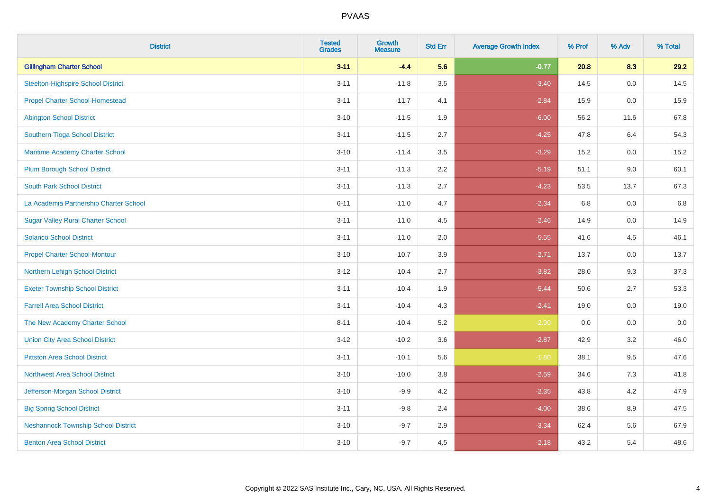| <b>District</b>                            | <b>Tested</b><br><b>Grades</b> | <b>Growth</b><br><b>Measure</b> | <b>Std Err</b> | <b>Average Growth Index</b> | % Prof | % Adv | % Total |
|--------------------------------------------|--------------------------------|---------------------------------|----------------|-----------------------------|--------|-------|---------|
| <b>Gillingham Charter School</b>           | $3 - 11$                       | $-4.4$                          | 5.6            | $-0.77$                     | 20.8   | 8.3   | 29.2    |
| Steelton-Highspire School District         | $3 - 11$                       | $-11.8$                         | 3.5            | $-3.40$                     | 14.5   | 0.0   | 14.5    |
| <b>Propel Charter School-Homestead</b>     | $3 - 11$                       | $-11.7$                         | 4.1            | $-2.84$                     | 15.9   | 0.0   | 15.9    |
| <b>Abington School District</b>            | $3 - 10$                       | $-11.5$                         | 1.9            | $-6.00$                     | 56.2   | 11.6  | 67.8    |
| Southern Tioga School District             | $3 - 11$                       | $-11.5$                         | 2.7            | $-4.25$                     | 47.8   | 6.4   | 54.3    |
| Maritime Academy Charter School            | $3 - 10$                       | $-11.4$                         | 3.5            | $-3.29$                     | 15.2   | 0.0   | 15.2    |
| <b>Plum Borough School District</b>        | $3 - 11$                       | $-11.3$                         | 2.2            | $-5.19$                     | 51.1   | 9.0   | 60.1    |
| <b>South Park School District</b>          | $3 - 11$                       | $-11.3$                         | 2.7            | $-4.23$                     | 53.5   | 13.7  | 67.3    |
| La Academia Partnership Charter School     | $6 - 11$                       | $-11.0$                         | 4.7            | $-2.34$                     | 6.8    | 0.0   | 6.8     |
| <b>Sugar Valley Rural Charter School</b>   | $3 - 11$                       | $-11.0$                         | 4.5            | $-2.46$                     | 14.9   | 0.0   | 14.9    |
| <b>Solanco School District</b>             | $3 - 11$                       | $-11.0$                         | 2.0            | $-5.55$                     | 41.6   | 4.5   | 46.1    |
| <b>Propel Charter School-Montour</b>       | $3 - 10$                       | $-10.7$                         | 3.9            | $-2.71$                     | 13.7   | 0.0   | 13.7    |
| Northern Lehigh School District            | $3 - 12$                       | $-10.4$                         | 2.7            | $-3.82$                     | 28.0   | 9.3   | 37.3    |
| <b>Exeter Township School District</b>     | $3 - 11$                       | $-10.4$                         | 1.9            | $-5.44$                     | 50.6   | 2.7   | 53.3    |
| <b>Farrell Area School District</b>        | $3 - 11$                       | $-10.4$                         | 4.3            | $-2.41$                     | 19.0   | 0.0   | 19.0    |
| The New Academy Charter School             | $8 - 11$                       | $-10.4$                         | 5.2            | $-2.00$                     | 0.0    | 0.0   | 0.0     |
| <b>Union City Area School District</b>     | $3 - 12$                       | $-10.2$                         | 3.6            | $-2.87$                     | 42.9   | 3.2   | 46.0    |
| <b>Pittston Area School District</b>       | $3 - 11$                       | $-10.1$                         | 5.6            | $-1.80$                     | 38.1   | 9.5   | 47.6    |
| <b>Northwest Area School District</b>      | $3 - 10$                       | $-10.0$                         | 3.8            | $-2.59$                     | 34.6   | 7.3   | 41.8    |
| Jefferson-Morgan School District           | $3 - 10$                       | $-9.9$                          | 4.2            | $-2.35$                     | 43.8   | 4.2   | 47.9    |
| <b>Big Spring School District</b>          | $3 - 11$                       | $-9.8$                          | 2.4            | $-4.00$                     | 38.6   | 8.9   | 47.5    |
| <b>Neshannock Township School District</b> | $3 - 10$                       | $-9.7$                          | 2.9            | $-3.34$                     | 62.4   | 5.6   | 67.9    |
| <b>Benton Area School District</b>         | $3 - 10$                       | $-9.7$                          | 4.5            | $-2.18$                     | 43.2   | 5.4   | 48.6    |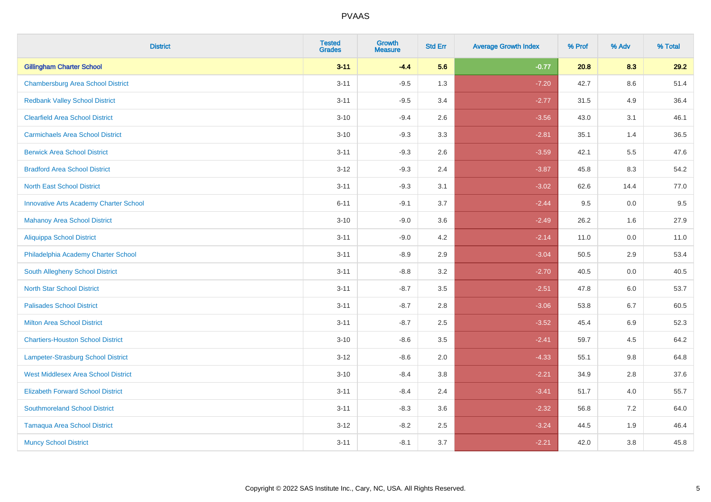| <b>District</b>                               | <b>Tested</b><br><b>Grades</b> | <b>Growth</b><br><b>Measure</b> | <b>Std Err</b> | <b>Average Growth Index</b> | % Prof | % Adv   | % Total |
|-----------------------------------------------|--------------------------------|---------------------------------|----------------|-----------------------------|--------|---------|---------|
| <b>Gillingham Charter School</b>              | $3 - 11$                       | $-4.4$                          | 5.6            | $-0.77$                     | 20.8   | 8.3     | 29.2    |
| <b>Chambersburg Area School District</b>      | $3 - 11$                       | $-9.5$                          | 1.3            | $-7.20$                     | 42.7   | $8.6\,$ | 51.4    |
| <b>Redbank Valley School District</b>         | $3 - 11$                       | $-9.5$                          | 3.4            | $-2.77$                     | 31.5   | 4.9     | 36.4    |
| <b>Clearfield Area School District</b>        | $3 - 10$                       | $-9.4$                          | 2.6            | $-3.56$                     | 43.0   | 3.1     | 46.1    |
| <b>Carmichaels Area School District</b>       | $3 - 10$                       | $-9.3$                          | 3.3            | $-2.81$                     | 35.1   | 1.4     | 36.5    |
| <b>Berwick Area School District</b>           | $3 - 11$                       | $-9.3$                          | 2.6            | $-3.59$                     | 42.1   | 5.5     | 47.6    |
| <b>Bradford Area School District</b>          | $3 - 12$                       | $-9.3$                          | 2.4            | $-3.87$                     | 45.8   | 8.3     | 54.2    |
| <b>North East School District</b>             | $3 - 11$                       | $-9.3$                          | 3.1            | $-3.02$                     | 62.6   | 14.4    | 77.0    |
| <b>Innovative Arts Academy Charter School</b> | $6 - 11$                       | $-9.1$                          | 3.7            | $-2.44$                     | 9.5    | 0.0     | 9.5     |
| <b>Mahanoy Area School District</b>           | $3 - 10$                       | $-9.0$                          | 3.6            | $-2.49$                     | 26.2   | 1.6     | 27.9    |
| <b>Aliquippa School District</b>              | $3 - 11$                       | $-9.0$                          | 4.2            | $-2.14$                     | 11.0   | 0.0     | 11.0    |
| Philadelphia Academy Charter School           | $3 - 11$                       | $-8.9$                          | 2.9            | $-3.04$                     | 50.5   | 2.9     | 53.4    |
| South Allegheny School District               | $3 - 11$                       | $-8.8$                          | 3.2            | $-2.70$                     | 40.5   | $0.0\,$ | 40.5    |
| <b>North Star School District</b>             | $3 - 11$                       | $-8.7$                          | 3.5            | $-2.51$                     | 47.8   | 6.0     | 53.7    |
| <b>Palisades School District</b>              | $3 - 11$                       | $-8.7$                          | 2.8            | $-3.06$                     | 53.8   | 6.7     | 60.5    |
| <b>Milton Area School District</b>            | $3 - 11$                       | $-8.7$                          | 2.5            | $-3.52$                     | 45.4   | $6.9\,$ | 52.3    |
| <b>Chartiers-Houston School District</b>      | $3 - 10$                       | $-8.6$                          | 3.5            | $-2.41$                     | 59.7   | 4.5     | 64.2    |
| Lampeter-Strasburg School District            | $3 - 12$                       | $-8.6$                          | 2.0            | $-4.33$                     | 55.1   | 9.8     | 64.8    |
| <b>West Middlesex Area School District</b>    | $3 - 10$                       | $-8.4$                          | 3.8            | $-2.21$                     | 34.9   | 2.8     | 37.6    |
| <b>Elizabeth Forward School District</b>      | $3 - 11$                       | $-8.4$                          | 2.4            | $-3.41$                     | 51.7   | 4.0     | 55.7    |
| <b>Southmoreland School District</b>          | $3 - 11$                       | $-8.3$                          | 3.6            | $-2.32$                     | 56.8   | 7.2     | 64.0    |
| <b>Tamaqua Area School District</b>           | $3 - 12$                       | $-8.2$                          | 2.5            | $-3.24$                     | 44.5   | 1.9     | 46.4    |
| <b>Muncy School District</b>                  | $3 - 11$                       | $-8.1$                          | 3.7            | $-2.21$                     | 42.0   | 3.8     | 45.8    |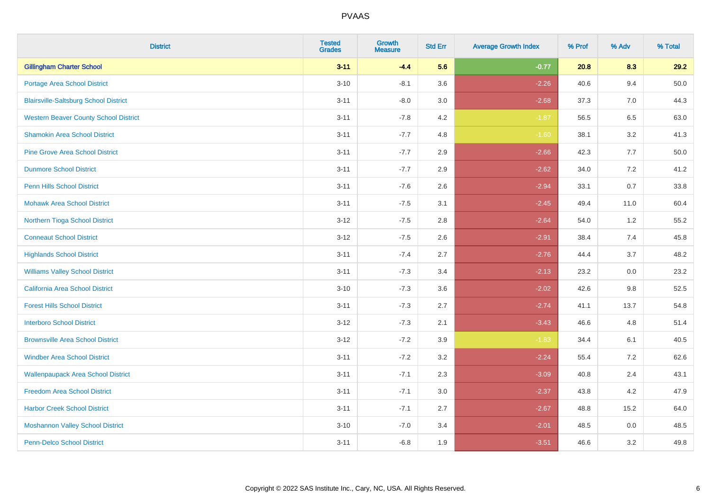| <b>District</b>                              | <b>Tested</b><br><b>Grades</b> | Growth<br><b>Measure</b> | <b>Std Err</b> | <b>Average Growth Index</b> | % Prof | % Adv | % Total |
|----------------------------------------------|--------------------------------|--------------------------|----------------|-----------------------------|--------|-------|---------|
| <b>Gillingham Charter School</b>             | $3 - 11$                       | $-4.4$                   | 5.6            | $-0.77$                     | 20.8   | 8.3   | 29.2    |
| <b>Portage Area School District</b>          | $3 - 10$                       | $-8.1$                   | 3.6            | $-2.26$                     | 40.6   | 9.4   | 50.0    |
| <b>Blairsville-Saltsburg School District</b> | $3 - 11$                       | $-8.0$                   | 3.0            | $-2.68$                     | 37.3   | 7.0   | 44.3    |
| <b>Western Beaver County School District</b> | $3 - 11$                       | $-7.8$                   | 4.2            | $-1.87$                     | 56.5   | 6.5   | 63.0    |
| <b>Shamokin Area School District</b>         | $3 - 11$                       | $-7.7$                   | 4.8            | $-1.60$                     | 38.1   | 3.2   | 41.3    |
| <b>Pine Grove Area School District</b>       | $3 - 11$                       | $-7.7$                   | 2.9            | $-2.66$                     | 42.3   | 7.7   | 50.0    |
| <b>Dunmore School District</b>               | $3 - 11$                       | $-7.7$                   | 2.9            | $-2.62$                     | 34.0   | 7.2   | 41.2    |
| <b>Penn Hills School District</b>            | $3 - 11$                       | $-7.6$                   | 2.6            | $-2.94$                     | 33.1   | 0.7   | 33.8    |
| <b>Mohawk Area School District</b>           | $3 - 11$                       | $-7.5$                   | 3.1            | $-2.45$                     | 49.4   | 11.0  | 60.4    |
| Northern Tioga School District               | $3 - 12$                       | $-7.5$                   | 2.8            | $-2.64$                     | 54.0   | 1.2   | 55.2    |
| <b>Conneaut School District</b>              | $3 - 12$                       | $-7.5$                   | 2.6            | $-2.91$                     | 38.4   | 7.4   | 45.8    |
| <b>Highlands School District</b>             | $3 - 11$                       | $-7.4$                   | 2.7            | $-2.76$                     | 44.4   | 3.7   | 48.2    |
| <b>Williams Valley School District</b>       | $3 - 11$                       | $-7.3$                   | 3.4            | $-2.13$                     | 23.2   | 0.0   | 23.2    |
| California Area School District              | $3 - 10$                       | $-7.3$                   | 3.6            | $-2.02$                     | 42.6   | 9.8   | 52.5    |
| <b>Forest Hills School District</b>          | $3 - 11$                       | $-7.3$                   | 2.7            | $-2.74$                     | 41.1   | 13.7  | 54.8    |
| <b>Interboro School District</b>             | $3 - 12$                       | $-7.3$                   | 2.1            | $-3.43$                     | 46.6   | 4.8   | 51.4    |
| <b>Brownsville Area School District</b>      | $3 - 12$                       | $-7.2$                   | 3.9            | $-1.83$                     | 34.4   | 6.1   | 40.5    |
| <b>Windber Area School District</b>          | $3 - 11$                       | $-7.2$                   | 3.2            | $-2.24$                     | 55.4   | 7.2   | 62.6    |
| <b>Wallenpaupack Area School District</b>    | $3 - 11$                       | $-7.1$                   | 2.3            | $-3.09$                     | 40.8   | 2.4   | 43.1    |
| <b>Freedom Area School District</b>          | $3 - 11$                       | $-7.1$                   | 3.0            | $-2.37$                     | 43.8   | 4.2   | 47.9    |
| <b>Harbor Creek School District</b>          | $3 - 11$                       | $-7.1$                   | 2.7            | $-2.67$                     | 48.8   | 15.2  | 64.0    |
| <b>Moshannon Valley School District</b>      | $3 - 10$                       | $-7.0$                   | 3.4            | $-2.01$                     | 48.5   | 0.0   | 48.5    |
| Penn-Delco School District                   | $3 - 11$                       | $-6.8$                   | 1.9            | $-3.51$                     | 46.6   | 3.2   | 49.8    |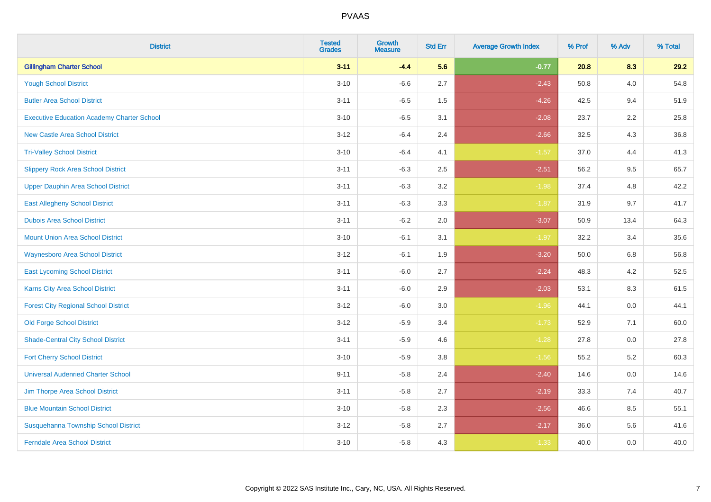| <b>District</b>                                   | <b>Tested</b><br><b>Grades</b> | <b>Growth</b><br><b>Measure</b> | <b>Std Err</b> | <b>Average Growth Index</b> | % Prof | % Adv   | % Total |
|---------------------------------------------------|--------------------------------|---------------------------------|----------------|-----------------------------|--------|---------|---------|
| <b>Gillingham Charter School</b>                  | $3 - 11$                       | $-4.4$                          | 5.6            | $-0.77$                     | 20.8   | 8.3     | 29.2    |
| <b>Yough School District</b>                      | $3 - 10$                       | $-6.6$                          | 2.7            | $-2.43$                     | 50.8   | 4.0     | 54.8    |
| <b>Butler Area School District</b>                | $3 - 11$                       | $-6.5$                          | 1.5            | $-4.26$                     | 42.5   | 9.4     | 51.9    |
| <b>Executive Education Academy Charter School</b> | $3 - 10$                       | $-6.5$                          | 3.1            | $-2.08$                     | 23.7   | $2.2\,$ | 25.8    |
| <b>New Castle Area School District</b>            | $3 - 12$                       | $-6.4$                          | 2.4            | $-2.66$                     | 32.5   | 4.3     | 36.8    |
| <b>Tri-Valley School District</b>                 | $3 - 10$                       | $-6.4$                          | 4.1            | $-1.57$                     | 37.0   | 4.4     | 41.3    |
| <b>Slippery Rock Area School District</b>         | $3 - 11$                       | $-6.3$                          | 2.5            | $-2.51$                     | 56.2   | 9.5     | 65.7    |
| <b>Upper Dauphin Area School District</b>         | $3 - 11$                       | $-6.3$                          | 3.2            | $-1.98$                     | 37.4   | 4.8     | 42.2    |
| <b>East Allegheny School District</b>             | $3 - 11$                       | $-6.3$                          | 3.3            | $-1.87$                     | 31.9   | 9.7     | 41.7    |
| <b>Dubois Area School District</b>                | $3 - 11$                       | $-6.2$                          | 2.0            | $-3.07$                     | 50.9   | 13.4    | 64.3    |
| <b>Mount Union Area School District</b>           | $3 - 10$                       | $-6.1$                          | 3.1            | $-1.97$                     | 32.2   | 3.4     | 35.6    |
| <b>Waynesboro Area School District</b>            | $3 - 12$                       | $-6.1$                          | 1.9            | $-3.20$                     | 50.0   | 6.8     | 56.8    |
| <b>East Lycoming School District</b>              | $3 - 11$                       | $-6.0$                          | 2.7            | $-2.24$                     | 48.3   | 4.2     | 52.5    |
| Karns City Area School District                   | $3 - 11$                       | $-6.0$                          | 2.9            | $-2.03$                     | 53.1   | 8.3     | 61.5    |
| <b>Forest City Regional School District</b>       | $3-12$                         | $-6.0$                          | $3.0\,$        | $-1.96$                     | 44.1   | $0.0\,$ | 44.1    |
| <b>Old Forge School District</b>                  | $3 - 12$                       | $-5.9$                          | 3.4            | $-1.73$                     | 52.9   | 7.1     | 60.0    |
| <b>Shade-Central City School District</b>         | $3 - 11$                       | $-5.9$                          | 4.6            | $-1.28$                     | 27.8   | 0.0     | 27.8    |
| <b>Fort Cherry School District</b>                | $3 - 10$                       | $-5.9$                          | 3.8            | $-1.56$                     | 55.2   | $5.2\,$ | 60.3    |
| <b>Universal Audenried Charter School</b>         | $9 - 11$                       | $-5.8$                          | 2.4            | $-2.40$                     | 14.6   | 0.0     | 14.6    |
| Jim Thorpe Area School District                   | $3 - 11$                       | $-5.8$                          | 2.7            | $-2.19$                     | 33.3   | 7.4     | 40.7    |
| <b>Blue Mountain School District</b>              | $3 - 10$                       | $-5.8$                          | 2.3            | $-2.56$                     | 46.6   | 8.5     | 55.1    |
| Susquehanna Township School District              | $3 - 12$                       | $-5.8$                          | 2.7            | $-2.17$                     | 36.0   | 5.6     | 41.6    |
| <b>Ferndale Area School District</b>              | $3 - 10$                       | $-5.8$                          | 4.3            | $-1.33$                     | 40.0   | 0.0     | 40.0    |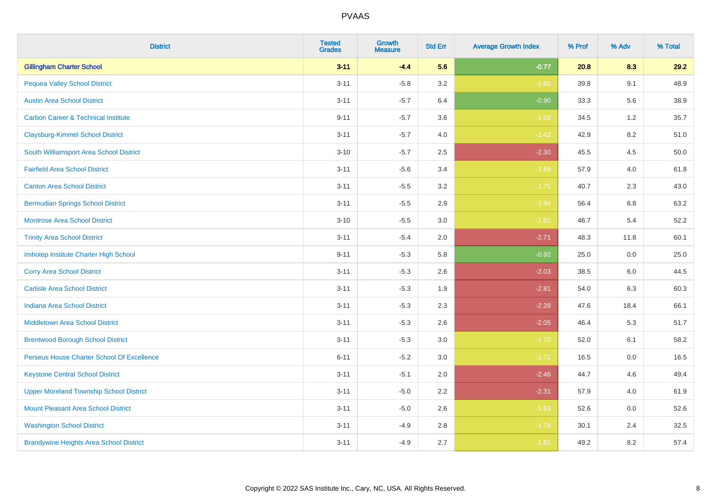| <b>District</b>                                | <b>Tested</b><br><b>Grades</b> | Growth<br><b>Measure</b> | <b>Std Err</b> | <b>Average Growth Index</b> | % Prof | % Adv   | % Total |
|------------------------------------------------|--------------------------------|--------------------------|----------------|-----------------------------|--------|---------|---------|
| <b>Gillingham Charter School</b>               | $3 - 11$                       | $-4.4$                   | 5.6            | $-0.77$                     | 20.8   | 8.3     | 29.2    |
| <b>Pequea Valley School District</b>           | $3 - 11$                       | $-5.8$                   | 3.2            | $-1.80$                     | 39.8   | 9.1     | 48.9    |
| <b>Austin Area School District</b>             | $3 - 11$                       | $-5.7$                   | 6.4            | $-0.90$                     | 33.3   | 5.6     | 38.9    |
| <b>Carbon Career &amp; Technical Institute</b> | $9 - 11$                       | $-5.7$                   | 3.6            | $-1.59$                     | 34.5   | $1.2\,$ | 35.7    |
| <b>Claysburg-Kimmel School District</b>        | $3 - 11$                       | $-5.7$                   | 4.0            | $-1.42$                     | 42.9   | 8.2     | 51.0    |
| South Williamsport Area School District        | $3 - 10$                       | $-5.7$                   | 2.5            | $-2.30$                     | 45.5   | 4.5     | 50.0    |
| <b>Fairfield Area School District</b>          | $3 - 11$                       | $-5.6$                   | 3.4            | $-1.66$                     | 57.9   | 4.0     | 61.8    |
| <b>Canton Area School District</b>             | $3 - 11$                       | $-5.5$                   | 3.2            | $-1.75$                     | 40.7   | 2.3     | 43.0    |
| <b>Bermudian Springs School District</b>       | $3 - 11$                       | $-5.5$                   | 2.9            | $-1.94$                     | 56.4   | 6.8     | 63.2    |
| <b>Montrose Area School District</b>           | $3 - 10$                       | $-5.5$                   | 3.0            | $-1.82$                     | 46.7   | 5.4     | 52.2    |
| <b>Trinity Area School District</b>            | $3 - 11$                       | $-5.4$                   | 2.0            | $-2.71$                     | 48.3   | 11.8    | 60.1    |
| Imhotep Institute Charter High School          | $9 - 11$                       | $-5.3$                   | 5.8            | $-0.92$                     | 25.0   | 0.0     | 25.0    |
| <b>Corry Area School District</b>              | $3 - 11$                       | $-5.3$                   | 2.6            | $-2.03$                     | 38.5   | 6.0     | 44.5    |
| <b>Carlisle Area School District</b>           | $3 - 11$                       | $-5.3$                   | 1.9            | $-2.81$                     | 54.0   | 6.3     | 60.3    |
| <b>Indiana Area School District</b>            | $3 - 11$                       | $-5.3$                   | 2.3            | $-2.28$                     | 47.6   | 18.4    | 66.1    |
| <b>Middletown Area School District</b>         | $3 - 11$                       | $-5.3$                   | 2.6            | $-2.05$                     | 46.4   | 5.3     | 51.7    |
| <b>Brentwood Borough School District</b>       | $3 - 11$                       | $-5.3$                   | 3.0            | $-1.72$                     | 52.0   | 6.1     | 58.2    |
| Perseus House Charter School Of Excellence     | $6 - 11$                       | $-5.2$                   | 3.0            | $-1.72$                     | 16.5   | 0.0     | 16.5    |
| <b>Keystone Central School District</b>        | $3 - 11$                       | $-5.1$                   | 2.0            | $-2.46$                     | 44.7   | 4.6     | 49.4    |
| <b>Upper Moreland Township School District</b> | $3 - 11$                       | $-5.0$                   | 2.2            | $-2.31$                     | 57.9   | 4.0     | 61.9    |
| <b>Mount Pleasant Area School District</b>     | $3 - 11$                       | $-5.0$                   | 2.6            | $-1.93$                     | 52.6   | 0.0     | 52.6    |
| <b>Washington School District</b>              | $3 - 11$                       | $-4.9$                   | 2.8            | $-1.76$                     | 30.1   | 2.4     | 32.5    |
| <b>Brandywine Heights Area School District</b> | $3 - 11$                       | $-4.9$                   | 2.7            | $-1.81$                     | 49.2   | 8.2     | 57.4    |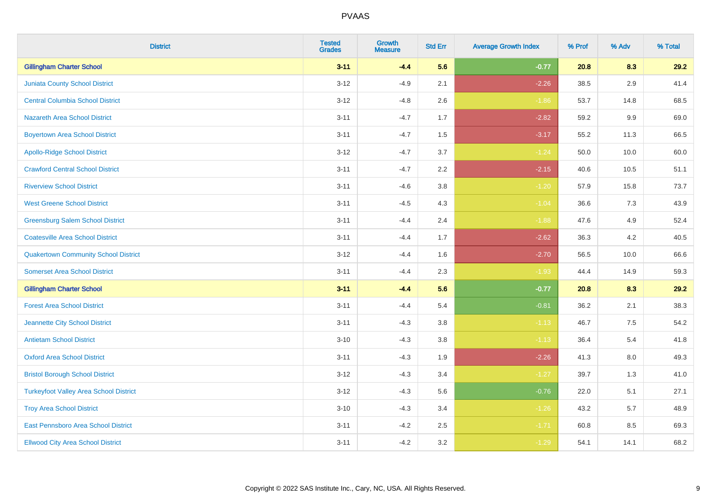| <b>District</b>                               | <b>Tested</b><br><b>Grades</b> | <b>Growth</b><br><b>Measure</b> | <b>Std Err</b> | <b>Average Growth Index</b> | % Prof | % Adv | % Total |
|-----------------------------------------------|--------------------------------|---------------------------------|----------------|-----------------------------|--------|-------|---------|
| <b>Gillingham Charter School</b>              | $3 - 11$                       | $-4.4$                          | 5.6            | $-0.77$                     | 20.8   | 8.3   | 29.2    |
| <b>Juniata County School District</b>         | $3 - 12$                       | $-4.9$                          | 2.1            | $-2.26$                     | 38.5   | 2.9   | 41.4    |
| <b>Central Columbia School District</b>       | $3 - 12$                       | $-4.8$                          | 2.6            | $-1.86$                     | 53.7   | 14.8  | 68.5    |
| Nazareth Area School District                 | $3 - 11$                       | $-4.7$                          | 1.7            | $-2.82$                     | 59.2   | 9.9   | 69.0    |
| <b>Boyertown Area School District</b>         | $3 - 11$                       | $-4.7$                          | 1.5            | $-3.17$                     | 55.2   | 11.3  | 66.5    |
| <b>Apollo-Ridge School District</b>           | $3 - 12$                       | $-4.7$                          | 3.7            | $-1.24$                     | 50.0   | 10.0  | 60.0    |
| <b>Crawford Central School District</b>       | $3 - 11$                       | $-4.7$                          | 2.2            | $-2.15$                     | 40.6   | 10.5  | 51.1    |
| <b>Riverview School District</b>              | $3 - 11$                       | $-4.6$                          | 3.8            | $-1.20$                     | 57.9   | 15.8  | 73.7    |
| <b>West Greene School District</b>            | $3 - 11$                       | $-4.5$                          | 4.3            | $-1.04$                     | 36.6   | 7.3   | 43.9    |
| <b>Greensburg Salem School District</b>       | $3 - 11$                       | $-4.4$                          | 2.4            | $-1.88$                     | 47.6   | 4.9   | 52.4    |
| <b>Coatesville Area School District</b>       | $3 - 11$                       | $-4.4$                          | 1.7            | $-2.62$                     | 36.3   | 4.2   | 40.5    |
| <b>Quakertown Community School District</b>   | $3 - 12$                       | $-4.4$                          | 1.6            | $-2.70$                     | 56.5   | 10.0  | 66.6    |
| <b>Somerset Area School District</b>          | $3 - 11$                       | $-4.4$                          | 2.3            | $-1.93$                     | 44.4   | 14.9  | 59.3    |
| <b>Gillingham Charter School</b>              | $3 - 11$                       | $-4.4$                          | 5.6            | $-0.77$                     | 20.8   | 8.3   | 29.2    |
| <b>Forest Area School District</b>            | $3 - 11$                       | $-4.4$                          | 5.4            | $-0.81$                     | 36.2   | 2.1   | 38.3    |
| Jeannette City School District                | $3 - 11$                       | $-4.3$                          | 3.8            | $-1.13$                     | 46.7   | 7.5   | 54.2    |
| <b>Antietam School District</b>               | $3 - 10$                       | $-4.3$                          | 3.8            | $-1.13$                     | 36.4   | 5.4   | 41.8    |
| <b>Oxford Area School District</b>            | $3 - 11$                       | $-4.3$                          | 1.9            | $-2.26$                     | 41.3   | 8.0   | 49.3    |
| <b>Bristol Borough School District</b>        | $3 - 12$                       | $-4.3$                          | 3.4            | $-1.27$                     | 39.7   | 1.3   | 41.0    |
| <b>Turkeyfoot Valley Area School District</b> | $3 - 12$                       | $-4.3$                          | 5.6            | $-0.76$                     | 22.0   | 5.1   | 27.1    |
| <b>Troy Area School District</b>              | $3 - 10$                       | $-4.3$                          | 3.4            | $-1.26$                     | 43.2   | 5.7   | 48.9    |
| East Pennsboro Area School District           | $3 - 11$                       | $-4.2$                          | 2.5            | $-1.71$                     | 60.8   | 8.5   | 69.3    |
| <b>Ellwood City Area School District</b>      | $3 - 11$                       | $-4.2$                          | 3.2            | $-1.29$                     | 54.1   | 14.1  | 68.2    |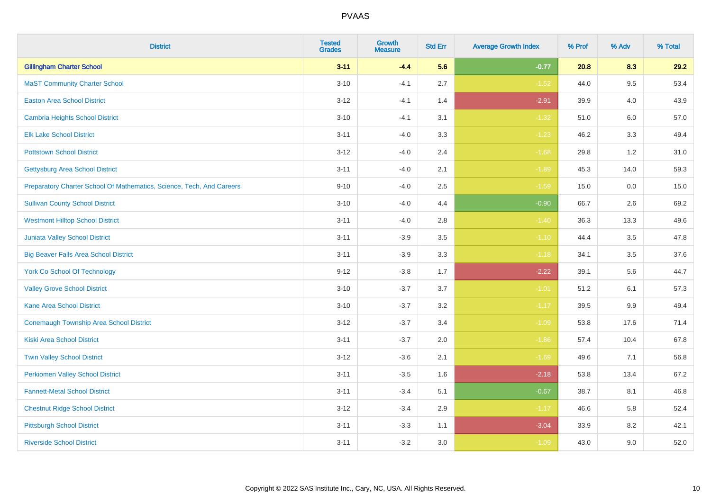| <b>District</b>                                                       | <b>Tested</b><br><b>Grades</b> | <b>Growth</b><br><b>Measure</b> | <b>Std Err</b> | <b>Average Growth Index</b> | % Prof | % Adv   | % Total |
|-----------------------------------------------------------------------|--------------------------------|---------------------------------|----------------|-----------------------------|--------|---------|---------|
| <b>Gillingham Charter School</b>                                      | $3 - 11$                       | $-4.4$                          | 5.6            | $-0.77$                     | 20.8   | 8.3     | 29.2    |
| <b>MaST Community Charter School</b>                                  | $3 - 10$                       | $-4.1$                          | 2.7            | $-1.52$                     | 44.0   | 9.5     | 53.4    |
| <b>Easton Area School District</b>                                    | $3 - 12$                       | $-4.1$                          | 1.4            | $-2.91$                     | 39.9   | 4.0     | 43.9    |
| <b>Cambria Heights School District</b>                                | $3 - 10$                       | $-4.1$                          | 3.1            | $-1.32$                     | 51.0   | $6.0\,$ | 57.0    |
| <b>Elk Lake School District</b>                                       | $3 - 11$                       | $-4.0$                          | 3.3            | $-1.23$                     | 46.2   | 3.3     | 49.4    |
| <b>Pottstown School District</b>                                      | $3 - 12$                       | $-4.0$                          | 2.4            | $-1.68$                     | 29.8   | 1.2     | 31.0    |
| <b>Gettysburg Area School District</b>                                | $3 - 11$                       | $-4.0$                          | 2.1            | $-1.89$                     | 45.3   | 14.0    | 59.3    |
| Preparatory Charter School Of Mathematics, Science, Tech, And Careers | $9 - 10$                       | $-4.0$                          | 2.5            | $-1.59$                     | 15.0   | 0.0     | 15.0    |
| <b>Sullivan County School District</b>                                | $3 - 10$                       | $-4.0$                          | 4.4            | $-0.90$                     | 66.7   | 2.6     | 69.2    |
| <b>Westmont Hilltop School District</b>                               | $3 - 11$                       | $-4.0$                          | 2.8            | $-1.40$                     | 36.3   | 13.3    | 49.6    |
| Juniata Valley School District                                        | $3 - 11$                       | $-3.9$                          | 3.5            | $-1.10$                     | 44.4   | 3.5     | 47.8    |
| <b>Big Beaver Falls Area School District</b>                          | $3 - 11$                       | $-3.9$                          | 3.3            | $-1.18$                     | 34.1   | 3.5     | 37.6    |
| <b>York Co School Of Technology</b>                                   | $9 - 12$                       | $-3.8$                          | 1.7            | $-2.22$                     | 39.1   | 5.6     | 44.7    |
| <b>Valley Grove School District</b>                                   | $3 - 10$                       | $-3.7$                          | 3.7            | $-1.01$                     | 51.2   | 6.1     | 57.3    |
| <b>Kane Area School District</b>                                      | $3 - 10$                       | $-3.7$                          | 3.2            | $-1.17$                     | 39.5   | 9.9     | 49.4    |
| <b>Conemaugh Township Area School District</b>                        | $3 - 12$                       | $-3.7$                          | 3.4            | $-1.09$                     | 53.8   | 17.6    | 71.4    |
| <b>Kiski Area School District</b>                                     | $3 - 11$                       | $-3.7$                          | 2.0            | $-1.86$                     | 57.4   | 10.4    | 67.8    |
| <b>Twin Valley School District</b>                                    | $3 - 12$                       | $-3.6$                          | 2.1            | $-1.69$                     | 49.6   | 7.1     | 56.8    |
| <b>Perkiomen Valley School District</b>                               | $3 - 11$                       | $-3.5$                          | 1.6            | $-2.18$                     | 53.8   | 13.4    | 67.2    |
| <b>Fannett-Metal School District</b>                                  | $3 - 11$                       | $-3.4$                          | 5.1            | $-0.67$                     | 38.7   | 8.1     | 46.8    |
| <b>Chestnut Ridge School District</b>                                 | $3 - 12$                       | $-3.4$                          | 2.9            | $-1.17$                     | 46.6   | 5.8     | 52.4    |
| <b>Pittsburgh School District</b>                                     | $3 - 11$                       | $-3.3$                          | 1.1            | $-3.04$                     | 33.9   | 8.2     | 42.1    |
| <b>Riverside School District</b>                                      | $3 - 11$                       | $-3.2$                          | 3.0            | $-1.09$                     | 43.0   | 9.0     | 52.0    |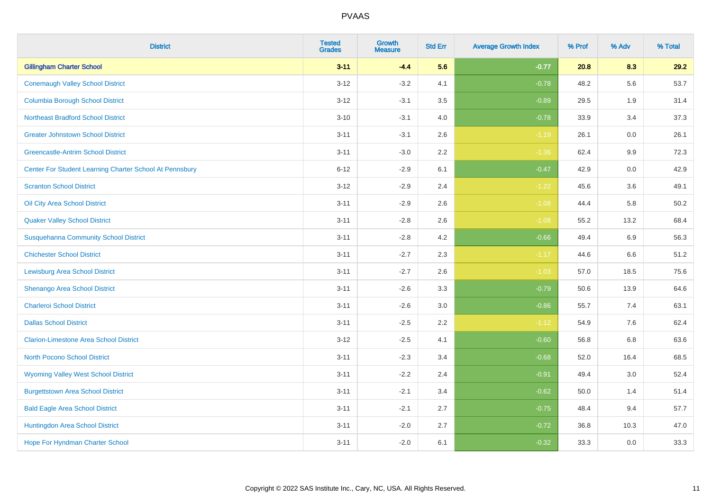| <b>District</b>                                         | <b>Tested</b><br><b>Grades</b> | <b>Growth</b><br><b>Measure</b> | <b>Std Err</b> | <b>Average Growth Index</b> | % Prof | % Adv   | % Total |
|---------------------------------------------------------|--------------------------------|---------------------------------|----------------|-----------------------------|--------|---------|---------|
| <b>Gillingham Charter School</b>                        | $3 - 11$                       | $-4.4$                          | 5.6            | $-0.77$                     | 20.8   | 8.3     | 29.2    |
| <b>Conemaugh Valley School District</b>                 | $3 - 12$                       | $-3.2$                          | 4.1            | $-0.78$                     | 48.2   | 5.6     | 53.7    |
| <b>Columbia Borough School District</b>                 | $3 - 12$                       | $-3.1$                          | 3.5            | $-0.89$                     | 29.5   | 1.9     | 31.4    |
| <b>Northeast Bradford School District</b>               | $3 - 10$                       | $-3.1$                          | 4.0            | $-0.78$                     | 33.9   | 3.4     | 37.3    |
| <b>Greater Johnstown School District</b>                | $3 - 11$                       | $-3.1$                          | 2.6            | $-1.19$                     | 26.1   | 0.0     | 26.1    |
| <b>Greencastle-Antrim School District</b>               | $3 - 11$                       | $-3.0$                          | 2.2            | $-1.36$                     | 62.4   | 9.9     | 72.3    |
| Center For Student Learning Charter School At Pennsbury | $6 - 12$                       | $-2.9$                          | 6.1            | $-0.47$                     | 42.9   | $0.0\,$ | 42.9    |
| <b>Scranton School District</b>                         | $3 - 12$                       | $-2.9$                          | 2.4            | $-1.22$                     | 45.6   | 3.6     | 49.1    |
| Oil City Area School District                           | $3 - 11$                       | $-2.9$                          | 2.6            | $-1.08$                     | 44.4   | 5.8     | 50.2    |
| <b>Quaker Valley School District</b>                    | $3 - 11$                       | $-2.8$                          | 2.6            | $-1.08$                     | 55.2   | 13.2    | 68.4    |
| <b>Susquehanna Community School District</b>            | $3 - 11$                       | $-2.8$                          | 4.2            | $-0.66$                     | 49.4   | 6.9     | 56.3    |
| <b>Chichester School District</b>                       | $3 - 11$                       | $-2.7$                          | 2.3            | $-1.17$                     | 44.6   | 6.6     | 51.2    |
| <b>Lewisburg Area School District</b>                   | $3 - 11$                       | $-2.7$                          | 2.6            | $-1.03$                     | 57.0   | 18.5    | 75.6    |
| Shenango Area School District                           | $3 - 11$                       | $-2.6$                          | 3.3            | $-0.79$                     | 50.6   | 13.9    | 64.6    |
| <b>Charleroi School District</b>                        | $3 - 11$                       | $-2.6$                          | 3.0            | $-0.86$                     | 55.7   | 7.4     | 63.1    |
| <b>Dallas School District</b>                           | $3 - 11$                       | $-2.5$                          | 2.2            | $-1.12$                     | 54.9   | 7.6     | 62.4    |
| <b>Clarion-Limestone Area School District</b>           | $3 - 12$                       | $-2.5$                          | 4.1            | $-0.60$                     | 56.8   | 6.8     | 63.6    |
| North Pocono School District                            | $3 - 11$                       | $-2.3$                          | 3.4            | $-0.68$                     | 52.0   | 16.4    | 68.5    |
| <b>Wyoming Valley West School District</b>              | $3 - 11$                       | $-2.2$                          | 2.4            | $-0.91$                     | 49.4   | 3.0     | 52.4    |
| <b>Burgettstown Area School District</b>                | $3 - 11$                       | $-2.1$                          | 3.4            | $-0.62$                     | 50.0   | 1.4     | 51.4    |
| <b>Bald Eagle Area School District</b>                  | $3 - 11$                       | $-2.1$                          | 2.7            | $-0.75$                     | 48.4   | 9.4     | 57.7    |
| Huntingdon Area School District                         | $3 - 11$                       | $-2.0$                          | 2.7            | $-0.72$                     | 36.8   | 10.3    | 47.0    |
| Hope For Hyndman Charter School                         | $3 - 11$                       | $-2.0$                          | 6.1            | $-0.32$                     | 33.3   | 0.0     | 33.3    |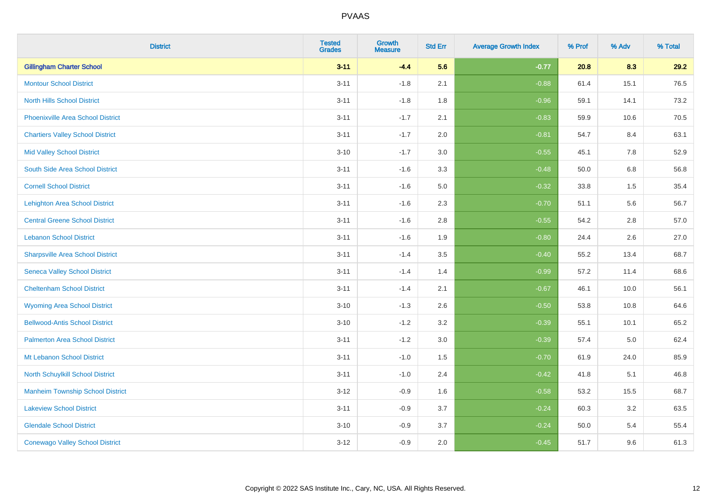| <b>District</b>                          | <b>Tested</b><br><b>Grades</b> | <b>Growth</b><br><b>Measure</b> | <b>Std Err</b> | <b>Average Growth Index</b> | % Prof | % Adv   | % Total |
|------------------------------------------|--------------------------------|---------------------------------|----------------|-----------------------------|--------|---------|---------|
| <b>Gillingham Charter School</b>         | $3 - 11$                       | $-4.4$                          | 5.6            | $-0.77$                     | 20.8   | 8.3     | 29.2    |
| <b>Montour School District</b>           | $3 - 11$                       | $-1.8$                          | 2.1            | $-0.88$                     | 61.4   | 15.1    | 76.5    |
| <b>North Hills School District</b>       | $3 - 11$                       | $-1.8$                          | 1.8            | $-0.96$                     | 59.1   | 14.1    | 73.2    |
| <b>Phoenixville Area School District</b> | $3 - 11$                       | $-1.7$                          | 2.1            | $-0.83$                     | 59.9   | 10.6    | 70.5    |
| <b>Chartiers Valley School District</b>  | $3 - 11$                       | $-1.7$                          | 2.0            | $-0.81$                     | 54.7   | 8.4     | 63.1    |
| <b>Mid Valley School District</b>        | $3 - 10$                       | $-1.7$                          | 3.0            | $-0.55$                     | 45.1   | 7.8     | 52.9    |
| South Side Area School District          | $3 - 11$                       | $-1.6$                          | 3.3            | $-0.48$                     | 50.0   | $6.8\,$ | 56.8    |
| <b>Cornell School District</b>           | $3 - 11$                       | $-1.6$                          | 5.0            | $-0.32$                     | 33.8   | 1.5     | 35.4    |
| <b>Lehighton Area School District</b>    | $3 - 11$                       | $-1.6$                          | 2.3            | $-0.70$                     | 51.1   | 5.6     | 56.7    |
| <b>Central Greene School District</b>    | $3 - 11$                       | $-1.6$                          | 2.8            | $-0.55$                     | 54.2   | 2.8     | 57.0    |
| <b>Lebanon School District</b>           | $3 - 11$                       | $-1.6$                          | 1.9            | $-0.80$                     | 24.4   | 2.6     | 27.0    |
| <b>Sharpsville Area School District</b>  | $3 - 11$                       | $-1.4$                          | 3.5            | $-0.40$                     | 55.2   | 13.4    | 68.7    |
| <b>Seneca Valley School District</b>     | $3 - 11$                       | $-1.4$                          | 1.4            | $-0.99$                     | 57.2   | 11.4    | 68.6    |
| <b>Cheltenham School District</b>        | $3 - 11$                       | $-1.4$                          | 2.1            | $-0.67$                     | 46.1   | 10.0    | 56.1    |
| <b>Wyoming Area School District</b>      | $3 - 10$                       | $-1.3$                          | 2.6            | $-0.50$                     | 53.8   | 10.8    | 64.6    |
| <b>Bellwood-Antis School District</b>    | $3 - 10$                       | $-1.2$                          | 3.2            | $-0.39$                     | 55.1   | 10.1    | 65.2    |
| <b>Palmerton Area School District</b>    | $3 - 11$                       | $-1.2$                          | 3.0            | $-0.39$                     | 57.4   | 5.0     | 62.4    |
| Mt Lebanon School District               | $3 - 11$                       | $-1.0$                          | 1.5            | $-0.70$                     | 61.9   | 24.0    | 85.9    |
| <b>North Schuylkill School District</b>  | $3 - 11$                       | $-1.0$                          | 2.4            | $-0.42$                     | 41.8   | 5.1     | 46.8    |
| <b>Manheim Township School District</b>  | $3 - 12$                       | $-0.9$                          | 1.6            | $-0.58$                     | 53.2   | 15.5    | 68.7    |
| <b>Lakeview School District</b>          | $3 - 11$                       | $-0.9$                          | 3.7            | $-0.24$                     | 60.3   | 3.2     | 63.5    |
| <b>Glendale School District</b>          | $3 - 10$                       | $-0.9$                          | 3.7            | $-0.24$                     | 50.0   | 5.4     | 55.4    |
| <b>Conewago Valley School District</b>   | $3 - 12$                       | $-0.9$                          | 2.0            | $-0.45$                     | 51.7   | 9.6     | 61.3    |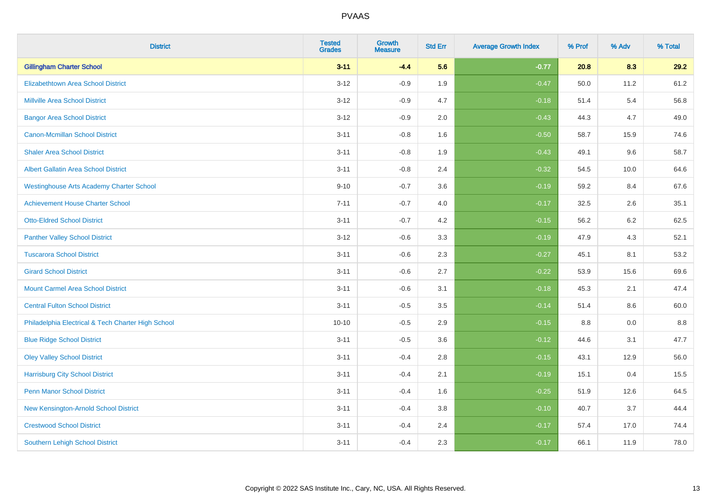| <b>District</b>                                    | <b>Tested</b><br><b>Grades</b> | <b>Growth</b><br><b>Measure</b> | <b>Std Err</b> | <b>Average Growth Index</b> | % Prof | % Adv | % Total |
|----------------------------------------------------|--------------------------------|---------------------------------|----------------|-----------------------------|--------|-------|---------|
| <b>Gillingham Charter School</b>                   | $3 - 11$                       | $-4.4$                          | 5.6            | $-0.77$                     | 20.8   | 8.3   | 29.2    |
| <b>Elizabethtown Area School District</b>          | $3 - 12$                       | $-0.9$                          | 1.9            | $-0.47$                     | 50.0   | 11.2  | 61.2    |
| <b>Millville Area School District</b>              | $3 - 12$                       | $-0.9$                          | 4.7            | $-0.18$                     | 51.4   | 5.4   | 56.8    |
| <b>Bangor Area School District</b>                 | $3 - 12$                       | $-0.9$                          | 2.0            | $-0.43$                     | 44.3   | 4.7   | 49.0    |
| <b>Canon-Mcmillan School District</b>              | $3 - 11$                       | $-0.8$                          | 1.6            | $-0.50$                     | 58.7   | 15.9  | 74.6    |
| <b>Shaler Area School District</b>                 | $3 - 11$                       | $-0.8$                          | 1.9            | $-0.43$                     | 49.1   | 9.6   | 58.7    |
| Albert Gallatin Area School District               | $3 - 11$                       | $-0.8$                          | 2.4            | $-0.32$                     | 54.5   | 10.0  | 64.6    |
| <b>Westinghouse Arts Academy Charter School</b>    | $9 - 10$                       | $-0.7$                          | 3.6            | $-0.19$                     | 59.2   | 8.4   | 67.6    |
| <b>Achievement House Charter School</b>            | $7 - 11$                       | $-0.7$                          | 4.0            | $-0.17$                     | 32.5   | 2.6   | 35.1    |
| <b>Otto-Eldred School District</b>                 | $3 - 11$                       | $-0.7$                          | 4.2            | $-0.15$                     | 56.2   | 6.2   | 62.5    |
| <b>Panther Valley School District</b>              | $3 - 12$                       | $-0.6$                          | 3.3            | $-0.19$                     | 47.9   | 4.3   | 52.1    |
| <b>Tuscarora School District</b>                   | $3 - 11$                       | $-0.6$                          | 2.3            | $-0.27$                     | 45.1   | 8.1   | 53.2    |
| <b>Girard School District</b>                      | $3 - 11$                       | $-0.6$                          | 2.7            | $-0.22$                     | 53.9   | 15.6  | 69.6    |
| <b>Mount Carmel Area School District</b>           | $3 - 11$                       | $-0.6$                          | 3.1            | $-0.18$                     | 45.3   | 2.1   | 47.4    |
| <b>Central Fulton School District</b>              | $3 - 11$                       | $-0.5$                          | 3.5            | $-0.14$                     | 51.4   | 8.6   | 60.0    |
| Philadelphia Electrical & Tech Charter High School | $10 - 10$                      | $-0.5$                          | 2.9            | $-0.15$                     | 8.8    | 0.0   | $8.8\,$ |
| <b>Blue Ridge School District</b>                  | $3 - 11$                       | $-0.5$                          | 3.6            | $-0.12$                     | 44.6   | 3.1   | 47.7    |
| <b>Oley Valley School District</b>                 | $3 - 11$                       | $-0.4$                          | 2.8            | $-0.15$                     | 43.1   | 12.9  | 56.0    |
| <b>Harrisburg City School District</b>             | $3 - 11$                       | $-0.4$                          | 2.1            | $-0.19$                     | 15.1   | 0.4   | 15.5    |
| <b>Penn Manor School District</b>                  | $3 - 11$                       | $-0.4$                          | 1.6            | $-0.25$                     | 51.9   | 12.6  | 64.5    |
| New Kensington-Arnold School District              | $3 - 11$                       | $-0.4$                          | 3.8            | $-0.10$                     | 40.7   | 3.7   | 44.4    |
| <b>Crestwood School District</b>                   | $3 - 11$                       | $-0.4$                          | 2.4            | $-0.17$                     | 57.4   | 17.0  | 74.4    |
| <b>Southern Lehigh School District</b>             | $3 - 11$                       | $-0.4$                          | 2.3            | $-0.17$                     | 66.1   | 11.9  | 78.0    |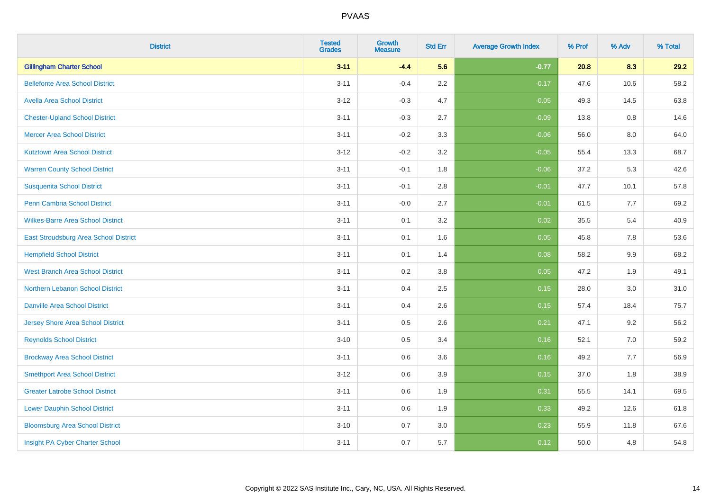| <b>District</b>                          | <b>Tested</b><br><b>Grades</b> | <b>Growth</b><br><b>Measure</b> | <b>Std Err</b> | <b>Average Growth Index</b> | % Prof | % Adv   | % Total |
|------------------------------------------|--------------------------------|---------------------------------|----------------|-----------------------------|--------|---------|---------|
| <b>Gillingham Charter School</b>         | $3 - 11$                       | $-4.4$                          | 5.6            | $-0.77$                     | 20.8   | 8.3     | 29.2    |
| <b>Bellefonte Area School District</b>   | $3 - 11$                       | $-0.4$                          | 2.2            | $-0.17$                     | 47.6   | 10.6    | 58.2    |
| <b>Avella Area School District</b>       | $3 - 12$                       | $-0.3$                          | 4.7            | $-0.05$                     | 49.3   | 14.5    | 63.8    |
| <b>Chester-Upland School District</b>    | $3 - 11$                       | $-0.3$                          | 2.7            | $-0.09$                     | 13.8   | $0.8\,$ | 14.6    |
| <b>Mercer Area School District</b>       | $3 - 11$                       | $-0.2$                          | 3.3            | $-0.06$                     | 56.0   | 8.0     | 64.0    |
| <b>Kutztown Area School District</b>     | $3 - 12$                       | $-0.2$                          | 3.2            | $-0.05$                     | 55.4   | 13.3    | 68.7    |
| <b>Warren County School District</b>     | $3 - 11$                       | $-0.1$                          | 1.8            | $-0.06$                     | 37.2   | 5.3     | 42.6    |
| <b>Susquenita School District</b>        | $3 - 11$                       | $-0.1$                          | 2.8            | $-0.01$                     | 47.7   | 10.1    | 57.8    |
| Penn Cambria School District             | $3 - 11$                       | $-0.0$                          | 2.7            | $-0.01$                     | 61.5   | 7.7     | 69.2    |
| <b>Wilkes-Barre Area School District</b> | $3 - 11$                       | 0.1                             | 3.2            | 0.02                        | 35.5   | 5.4     | 40.9    |
| East Stroudsburg Area School District    | $3 - 11$                       | 0.1                             | 1.6            | 0.05                        | 45.8   | 7.8     | 53.6    |
| <b>Hempfield School District</b>         | $3 - 11$                       | 0.1                             | 1.4            | 0.08                        | 58.2   | 9.9     | 68.2    |
| West Branch Area School District         | $3 - 11$                       | 0.2                             | 3.8            | 0.05                        | 47.2   | 1.9     | 49.1    |
| Northern Lebanon School District         | $3 - 11$                       | 0.4                             | 2.5            | 0.15                        | 28.0   | 3.0     | 31.0    |
| <b>Danville Area School District</b>     | $3 - 11$                       | 0.4                             | 2.6            | 0.15                        | 57.4   | 18.4    | 75.7    |
| <b>Jersey Shore Area School District</b> | $3 - 11$                       | 0.5                             | 2.6            | 0.21                        | 47.1   | 9.2     | 56.2    |
| <b>Reynolds School District</b>          | $3 - 10$                       | 0.5                             | 3.4            | 0.16                        | 52.1   | 7.0     | 59.2    |
| <b>Brockway Area School District</b>     | $3 - 11$                       | 0.6                             | 3.6            | 0.16                        | 49.2   | 7.7     | 56.9    |
| <b>Smethport Area School District</b>    | $3 - 12$                       | 0.6                             | 3.9            | 0.15                        | 37.0   | 1.8     | 38.9    |
| <b>Greater Latrobe School District</b>   | $3 - 11$                       | 0.6                             | 1.9            | 0.31                        | 55.5   | 14.1    | 69.5    |
| <b>Lower Dauphin School District</b>     | $3 - 11$                       | 0.6                             | 1.9            | 0.33                        | 49.2   | 12.6    | 61.8    |
| <b>Bloomsburg Area School District</b>   | $3 - 10$                       | 0.7                             | 3.0            | 0.23                        | 55.9   | 11.8    | 67.6    |
| Insight PA Cyber Charter School          | $3 - 11$                       | 0.7                             | 5.7            | 0.12                        | 50.0   | 4.8     | 54.8    |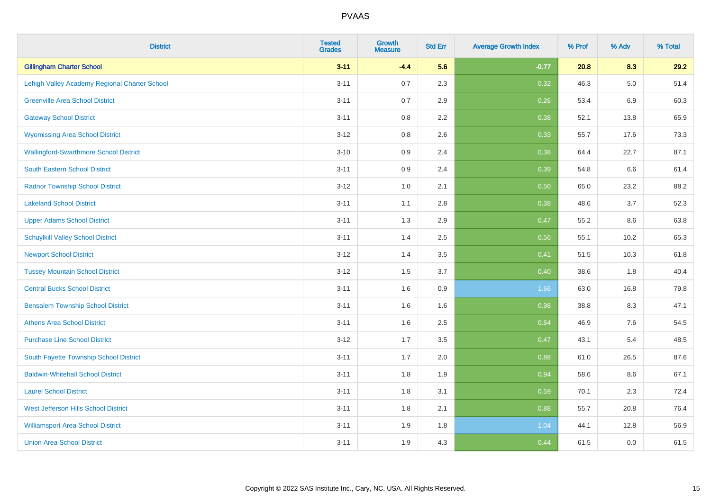| <b>District</b>                               | <b>Tested</b><br><b>Grades</b> | <b>Growth</b><br><b>Measure</b> | <b>Std Err</b> | <b>Average Growth Index</b> | % Prof | % Adv   | % Total |
|-----------------------------------------------|--------------------------------|---------------------------------|----------------|-----------------------------|--------|---------|---------|
| <b>Gillingham Charter School</b>              | $3 - 11$                       | $-4.4$                          | 5.6            | $-0.77$                     | 20.8   | 8.3     | 29.2    |
| Lehigh Valley Academy Regional Charter School | $3 - 11$                       | 0.7                             | 2.3            | 0.32                        | 46.3   | $5.0\,$ | 51.4    |
| <b>Greenville Area School District</b>        | $3 - 11$                       | 0.7                             | 2.9            | 0.26                        | 53.4   | 6.9     | 60.3    |
| <b>Gateway School District</b>                | $3 - 11$                       | 0.8                             | 2.2            | 0.38                        | 52.1   | 13.8    | 65.9    |
| <b>Wyomissing Area School District</b>        | $3 - 12$                       | 0.8                             | 2.6            | 0.33                        | 55.7   | 17.6    | 73.3    |
| <b>Wallingford-Swarthmore School District</b> | $3 - 10$                       | 0.9                             | 2.4            | 0.38                        | 64.4   | 22.7    | 87.1    |
| South Eastern School District                 | $3 - 11$                       | 0.9                             | 2.4            | 0.39                        | 54.8   | 6.6     | 61.4    |
| <b>Radnor Township School District</b>        | $3 - 12$                       | 1.0                             | 2.1            | 0.50                        | 65.0   | 23.2    | 88.2    |
| <b>Lakeland School District</b>               | $3 - 11$                       | 1.1                             | 2.8            | 0.38                        | 48.6   | 3.7     | 52.3    |
| <b>Upper Adams School District</b>            | $3 - 11$                       | 1.3                             | 2.9            | 0.47                        | 55.2   | 8.6     | 63.8    |
| <b>Schuylkill Valley School District</b>      | $3 - 11$                       | 1.4                             | 2.5            | 0.56                        | 55.1   | 10.2    | 65.3    |
| <b>Newport School District</b>                | $3 - 12$                       | 1.4                             | 3.5            | 0.41                        | 51.5   | 10.3    | 61.8    |
| <b>Tussey Mountain School District</b>        | $3 - 12$                       | 1.5                             | 3.7            | 0.40                        | 38.6   | 1.8     | 40.4    |
| <b>Central Bucks School District</b>          | $3 - 11$                       | 1.6                             | 0.9            | 1.66                        | 63.0   | 16.8    | 79.8    |
| <b>Bensalem Township School District</b>      | $3 - 11$                       | 1.6                             | 1.6            | 0.98                        | 38.8   | 8.3     | 47.1    |
| <b>Athens Area School District</b>            | $3 - 11$                       | 1.6                             | 2.5            | 0.64                        | 46.9   | $7.6\,$ | 54.5    |
| <b>Purchase Line School District</b>          | $3 - 12$                       | 1.7                             | 3.5            | 0.47                        | 43.1   | 5.4     | 48.5    |
| South Fayette Township School District        | $3 - 11$                       | 1.7                             | 2.0            | 0.88                        | 61.0   | 26.5    | 87.6    |
| <b>Baldwin-Whitehall School District</b>      | $3 - 11$                       | 1.8                             | 1.9            | 0.94                        | 58.6   | 8.6     | 67.1    |
| <b>Laurel School District</b>                 | $3 - 11$                       | 1.8                             | 3.1            | 0.59                        | 70.1   | 2.3     | 72.4    |
| <b>West Jefferson Hills School District</b>   | $3 - 11$                       | 1.8                             | 2.1            | 0.88                        | 55.7   | 20.8    | 76.4    |
| <b>Williamsport Area School District</b>      | $3 - 11$                       | 1.9                             | 1.8            | 1.04                        | 44.1   | 12.8    | 56.9    |
| <b>Union Area School District</b>             | $3 - 11$                       | 1.9                             | 4.3            | 0.44                        | 61.5   | 0.0     | 61.5    |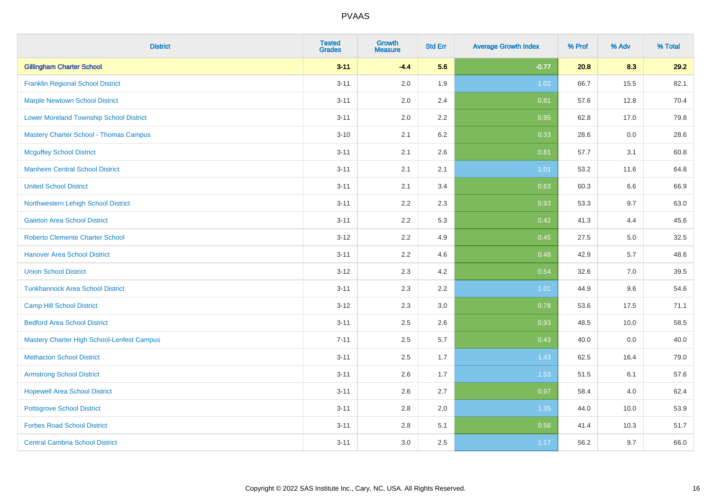| <b>District</b>                                | <b>Tested</b><br><b>Grades</b> | <b>Growth</b><br><b>Measure</b> | <b>Std Err</b> | <b>Average Growth Index</b> | % Prof | % Adv | % Total |
|------------------------------------------------|--------------------------------|---------------------------------|----------------|-----------------------------|--------|-------|---------|
| <b>Gillingham Charter School</b>               | $3 - 11$                       | $-4.4$                          | 5.6            | $-0.77$                     | 20.8   | 8.3   | 29.2    |
| <b>Franklin Regional School District</b>       | $3 - 11$                       | 2.0                             | 1.9            | 1.02                        | 66.7   | 15.5  | 82.1    |
| <b>Marple Newtown School District</b>          | $3 - 11$                       | 2.0                             | 2.4            | 0.81                        | 57.6   | 12.8  | 70.4    |
| <b>Lower Moreland Township School District</b> | $3 - 11$                       | 2.0                             | 2.2            | 0.95                        | 62.8   | 17.0  | 79.8    |
| <b>Mastery Charter School - Thomas Campus</b>  | $3 - 10$                       | 2.1                             | 6.2            | 0.33                        | 28.6   | 0.0   | 28.6    |
| <b>Mcguffey School District</b>                | $3 - 11$                       | 2.1                             | 2.6            | 0.81                        | 57.7   | 3.1   | 60.8    |
| <b>Manheim Central School District</b>         | $3 - 11$                       | 2.1                             | 2.1            | $1.01$                      | 53.2   | 11.6  | 64.8    |
| <b>United School District</b>                  | $3 - 11$                       | 2.1                             | 3.4            | 0.63                        | 60.3   | 6.6   | 66.9    |
| Northwestern Lehigh School District            | $3 - 11$                       | 2.2                             | 2.3            | 0.93                        | 53.3   | 9.7   | 63.0    |
| <b>Galeton Area School District</b>            | $3 - 11$                       | 2.2                             | 5.3            | 0.42                        | 41.3   | 4.4   | 45.6    |
| <b>Roberto Clemente Charter School</b>         | $3 - 12$                       | 2.2                             | 4.9            | 0.45                        | 27.5   | 5.0   | 32.5    |
| <b>Hanover Area School District</b>            | $3 - 11$                       | 2.2                             | 4.6            | 0.48                        | 42.9   | 5.7   | 48.6    |
| <b>Union School District</b>                   | $3 - 12$                       | 2.3                             | 4.2            | 0.54                        | 32.6   | 7.0   | 39.5    |
| <b>Tunkhannock Area School District</b>        | $3 - 11$                       | 2.3                             | 2.2            | 1.01                        | 44.9   | 9.6   | 54.6    |
| <b>Camp Hill School District</b>               | $3 - 12$                       | 2.3                             | $3.0\,$        | 0.78                        | 53.6   | 17.5  | 71.1    |
| <b>Bedford Area School District</b>            | $3 - 11$                       | 2.5                             | 2.6            | 0.93                        | 48.5   | 10.0  | 58.5    |
| Mastery Charter High School-Lenfest Campus     | $7 - 11$                       | 2.5                             | 5.7            | 0.43                        | 40.0   | 0.0   | 40.0    |
| <b>Methacton School District</b>               | $3 - 11$                       | 2.5                             | 1.7            | 1.43                        | 62.5   | 16.4  | 79.0    |
| <b>Armstrong School District</b>               | $3 - 11$                       | 2.6                             | 1.7            | 1.53                        | 51.5   | 6.1   | 57.6    |
| <b>Hopewell Area School District</b>           | $3 - 11$                       | 2.6                             | 2.7            | 0.97                        | 58.4   | 4.0   | 62.4    |
| <b>Pottsgrove School District</b>              | $3 - 11$                       | 2.8                             | 2.0            | 1.35                        | 44.0   | 10.0  | 53.9    |
| <b>Forbes Road School District</b>             | $3 - 11$                       | 2.8                             | 5.1            | 0.56                        | 41.4   | 10.3  | 51.7    |
| <b>Central Cambria School District</b>         | $3 - 11$                       | 3.0                             | 2.5            | 1.17                        | 56.2   | 9.7   | 66.0    |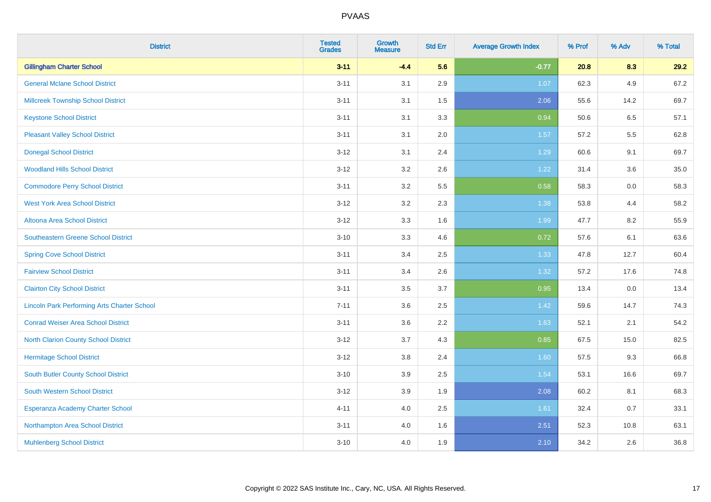| <b>District</b>                                    | <b>Tested</b><br><b>Grades</b> | <b>Growth</b><br><b>Measure</b> | <b>Std Err</b> | <b>Average Growth Index</b> | % Prof | % Adv | % Total |
|----------------------------------------------------|--------------------------------|---------------------------------|----------------|-----------------------------|--------|-------|---------|
| <b>Gillingham Charter School</b>                   | $3 - 11$                       | $-4.4$                          | 5.6            | $-0.77$                     | 20.8   | 8.3   | 29.2    |
| <b>General Mclane School District</b>              | $3 - 11$                       | 3.1                             | 2.9            | 1.07                        | 62.3   | 4.9   | 67.2    |
| <b>Millcreek Township School District</b>          | $3 - 11$                       | 3.1                             | 1.5            | 2.06                        | 55.6   | 14.2  | 69.7    |
| <b>Keystone School District</b>                    | $3 - 11$                       | 3.1                             | 3.3            | 0.94                        | 50.6   | 6.5   | 57.1    |
| <b>Pleasant Valley School District</b>             | $3 - 11$                       | 3.1                             | 2.0            | 1.57                        | 57.2   | 5.5   | 62.8    |
| <b>Donegal School District</b>                     | $3 - 12$                       | 3.1                             | 2.4            | 1.29                        | 60.6   | 9.1   | 69.7    |
| <b>Woodland Hills School District</b>              | $3 - 12$                       | 3.2                             | 2.6            | 1.22                        | 31.4   | 3.6   | 35.0    |
| <b>Commodore Perry School District</b>             | $3 - 11$                       | 3.2                             | 5.5            | 0.58                        | 58.3   | 0.0   | 58.3    |
| <b>West York Area School District</b>              | $3 - 12$                       | 3.2                             | 2.3            | 1.38                        | 53.8   | 4.4   | 58.2    |
| Altoona Area School District                       | $3 - 12$                       | 3.3                             | 1.6            | 1.99                        | 47.7   | 8.2   | 55.9    |
| <b>Southeastern Greene School District</b>         | $3 - 10$                       | 3.3                             | 4.6            | 0.72                        | 57.6   | 6.1   | 63.6    |
| <b>Spring Cove School District</b>                 | $3 - 11$                       | 3.4                             | 2.5            | 1.33                        | 47.8   | 12.7  | 60.4    |
| <b>Fairview School District</b>                    | $3 - 11$                       | 3.4                             | 2.6            | 1.32                        | 57.2   | 17.6  | 74.8    |
| <b>Clairton City School District</b>               | $3 - 11$                       | 3.5                             | 3.7            | 0.95                        | 13.4   | 0.0   | 13.4    |
| <b>Lincoln Park Performing Arts Charter School</b> | $7 - 11$                       | 3.6                             | 2.5            | 1.42                        | 59.6   | 14.7  | 74.3    |
| <b>Conrad Weiser Area School District</b>          | $3 - 11$                       | 3.6                             | 2.2            | 1.63                        | 52.1   | 2.1   | 54.2    |
| <b>North Clarion County School District</b>        | $3 - 12$                       | 3.7                             | 4.3            | 0.85                        | 67.5   | 15.0  | 82.5    |
| <b>Hermitage School District</b>                   | $3 - 12$                       | 3.8                             | 2.4            | 1.60                        | 57.5   | 9.3   | 66.8    |
| <b>South Butler County School District</b>         | $3 - 10$                       | 3.9                             | 2.5            | 1.54                        | 53.1   | 16.6  | 69.7    |
| South Western School District                      | $3-12$                         | 3.9                             | 1.9            | 2.08                        | 60.2   | 8.1   | 68.3    |
| Esperanza Academy Charter School                   | $4 - 11$                       | 4.0                             | 2.5            | 1.61                        | 32.4   | 0.7   | 33.1    |
| Northampton Area School District                   | $3 - 11$                       | 4.0                             | 1.6            | 2.51                        | 52.3   | 10.8  | 63.1    |
| <b>Muhlenberg School District</b>                  | $3 - 10$                       | 4.0                             | 1.9            | 2.10                        | 34.2   | 2.6   | 36.8    |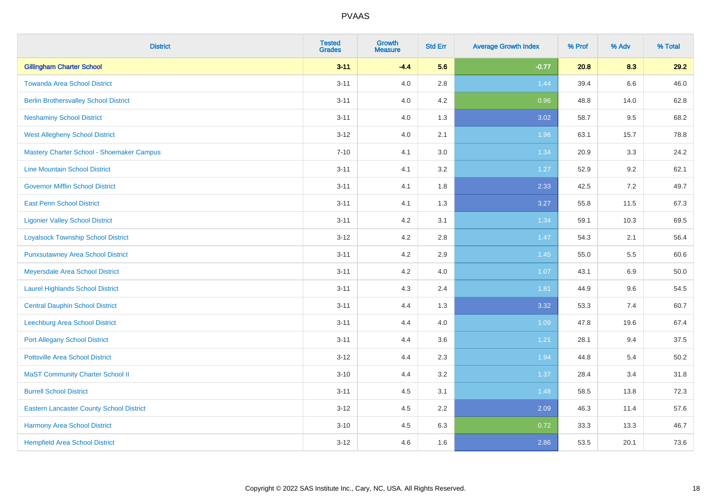| <b>District</b>                                 | <b>Tested</b><br><b>Grades</b> | <b>Growth</b><br><b>Measure</b> | <b>Std Err</b> | <b>Average Growth Index</b> | % Prof | % Adv | % Total |
|-------------------------------------------------|--------------------------------|---------------------------------|----------------|-----------------------------|--------|-------|---------|
| <b>Gillingham Charter School</b>                | $3 - 11$                       | $-4.4$                          | 5.6            | $-0.77$                     | 20.8   | 8.3   | 29.2    |
| <b>Towanda Area School District</b>             | $3 - 11$                       | 4.0                             | 2.8            | 1.44                        | 39.4   | 6.6   | 46.0    |
| <b>Berlin Brothersvalley School District</b>    | $3 - 11$                       | 4.0                             | 4.2            | 0.96                        | 48.8   | 14.0  | 62.8    |
| <b>Neshaminy School District</b>                | $3 - 11$                       | 4.0                             | 1.3            | 3.02                        | 58.7   | 9.5   | 68.2    |
| <b>West Allegheny School District</b>           | $3 - 12$                       | 4.0                             | 2.1            | 1.96                        | 63.1   | 15.7  | 78.8    |
| Mastery Charter School - Shoemaker Campus       | $7 - 10$                       | 4.1                             | 3.0            | 1.34                        | 20.9   | 3.3   | 24.2    |
| <b>Line Mountain School District</b>            | $3 - 11$                       | 4.1                             | 3.2            | 1.27                        | 52.9   | 9.2   | 62.1    |
| <b>Governor Mifflin School District</b>         | $3 - 11$                       | 4.1                             | 1.8            | 2.33                        | 42.5   | 7.2   | 49.7    |
| <b>East Penn School District</b>                | $3 - 11$                       | 4.1                             | 1.3            | 3.27                        | 55.8   | 11.5  | 67.3    |
| <b>Ligonier Valley School District</b>          | $3 - 11$                       | 4.2                             | 3.1            | 1.34                        | 59.1   | 10.3  | 69.5    |
| <b>Loyalsock Township School District</b>       | $3 - 12$                       | 4.2                             | 2.8            | $1.47$                      | 54.3   | 2.1   | 56.4    |
| <b>Punxsutawney Area School District</b>        | $3 - 11$                       | 4.2                             | 2.9            | 1.45                        | 55.0   | 5.5   | 60.6    |
| Meyersdale Area School District                 | $3 - 11$                       | 4.2                             | 4.0            | 1.07                        | 43.1   | 6.9   | 50.0    |
| <b>Laurel Highlands School District</b>         | $3 - 11$                       | 4.3                             | 2.4            | 1.81                        | 44.9   | 9.6   | 54.5    |
| <b>Central Dauphin School District</b>          | $3 - 11$                       | 4.4                             | 1.3            | 3.32                        | 53.3   | 7.4   | 60.7    |
| Leechburg Area School District                  | $3 - 11$                       | 4.4                             | 4.0            | 1.09                        | 47.8   | 19.6  | 67.4    |
| <b>Port Allegany School District</b>            | $3 - 11$                       | 4.4                             | 3.6            | 1.21                        | 28.1   | 9.4   | 37.5    |
| <b>Pottsville Area School District</b>          | $3 - 12$                       | 4.4                             | 2.3            | 1.94                        | 44.8   | 5.4   | 50.2    |
| <b>MaST Community Charter School II</b>         | $3 - 10$                       | 4.4                             | 3.2            | 1.37                        | 28.4   | 3.4   | 31.8    |
| <b>Burrell School District</b>                  | $3 - 11$                       | 4.5                             | 3.1            | 1.48                        | 58.5   | 13.8  | 72.3    |
| <b>Eastern Lancaster County School District</b> | $3-12$                         | 4.5                             | 2.2            | 2.09                        | 46.3   | 11.4  | 57.6    |
| <b>Harmony Area School District</b>             | $3 - 10$                       | 4.5                             | 6.3            | 0.72                        | 33.3   | 13.3  | 46.7    |
| <b>Hempfield Area School District</b>           | $3 - 12$                       | 4.6                             | 1.6            | 2.86                        | 53.5   | 20.1  | 73.6    |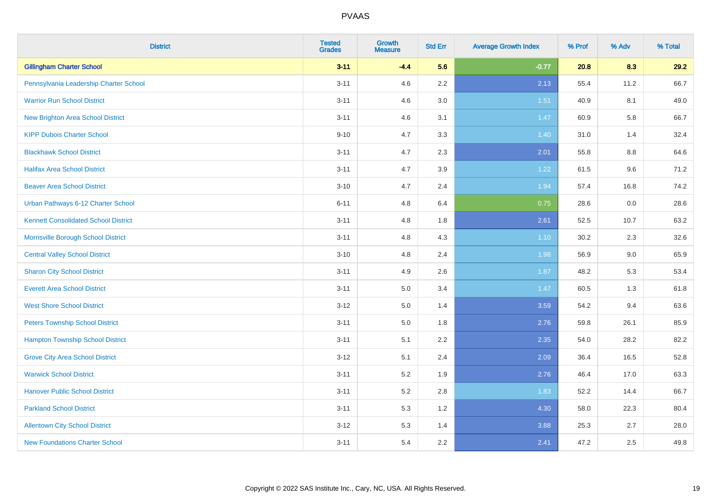| <b>District</b>                             | <b>Tested</b><br><b>Grades</b> | <b>Growth</b><br><b>Measure</b> | <b>Std Err</b> | <b>Average Growth Index</b> | % Prof | % Adv | % Total |
|---------------------------------------------|--------------------------------|---------------------------------|----------------|-----------------------------|--------|-------|---------|
| <b>Gillingham Charter School</b>            | $3 - 11$                       | $-4.4$                          | 5.6            | $-0.77$                     | 20.8   | 8.3   | 29.2    |
| Pennsylvania Leadership Charter School      | $3 - 11$                       | 4.6                             | $2.2\,$        | 2.13                        | 55.4   | 11.2  | 66.7    |
| <b>Warrior Run School District</b>          | $3 - 11$                       | 4.6                             | 3.0            | 1.51                        | 40.9   | 8.1   | 49.0    |
| New Brighton Area School District           | $3 - 11$                       | 4.6                             | 3.1            | 1.47                        | 60.9   | 5.8   | 66.7    |
| <b>KIPP Dubois Charter School</b>           | $9 - 10$                       | 4.7                             | 3.3            | 1.40                        | 31.0   | 1.4   | 32.4    |
| <b>Blackhawk School District</b>            | $3 - 11$                       | 4.7                             | 2.3            | 2.01                        | 55.8   | 8.8   | 64.6    |
| <b>Halifax Area School District</b>         | $3 - 11$                       | 4.7                             | 3.9            | 1.22                        | 61.5   | 9.6   | 71.2    |
| <b>Beaver Area School District</b>          | $3 - 10$                       | 4.7                             | 2.4            | 1.94                        | 57.4   | 16.8  | 74.2    |
| Urban Pathways 6-12 Charter School          | $6 - 11$                       | 4.8                             | 6.4            | 0.75                        | 28.6   | 0.0   | 28.6    |
| <b>Kennett Consolidated School District</b> | $3 - 11$                       | 4.8                             | 1.8            | 2.61                        | 52.5   | 10.7  | 63.2    |
| Morrisville Borough School District         | $3 - 11$                       | 4.8                             | 4.3            | $1.10$                      | 30.2   | 2.3   | 32.6    |
| <b>Central Valley School District</b>       | $3 - 10$                       | 4.8                             | 2.4            | 1.98                        | 56.9   | 9.0   | 65.9    |
| <b>Sharon City School District</b>          | $3 - 11$                       | 4.9                             | 2.6            | 1.87                        | 48.2   | 5.3   | 53.4    |
| <b>Everett Area School District</b>         | $3 - 11$                       | $5.0\,$                         | 3.4            | 1.47                        | 60.5   | 1.3   | 61.8    |
| <b>West Shore School District</b>           | $3 - 12$                       | 5.0                             | 1.4            | 3.59                        | 54.2   | 9.4   | 63.6    |
| <b>Peters Township School District</b>      | $3 - 11$                       | 5.0                             | 1.8            | 2.76                        | 59.8   | 26.1  | 85.9    |
| <b>Hampton Township School District</b>     | $3 - 11$                       | 5.1                             | 2.2            | 2.35                        | 54.0   | 28.2  | 82.2    |
| <b>Grove City Area School District</b>      | $3 - 12$                       | 5.1                             | 2.4            | 2.09                        | 36.4   | 16.5  | 52.8    |
| <b>Warwick School District</b>              | $3 - 11$                       | 5.2                             | 1.9            | 2.76                        | 46.4   | 17.0  | 63.3    |
| <b>Hanover Public School District</b>       | $3 - 11$                       | 5.2                             | 2.8            | 1.83                        | 52.2   | 14.4  | 66.7    |
| <b>Parkland School District</b>             | $3 - 11$                       | 5.3                             | 1.2            | 4.30                        | 58.0   | 22.3  | 80.4    |
| <b>Allentown City School District</b>       | $3 - 12$                       | 5.3                             | 1.4            | 3.88                        | 25.3   | 2.7   | 28.0    |
| <b>New Foundations Charter School</b>       | $3 - 11$                       | 5.4                             | 2.2            | 2.41                        | 47.2   | 2.5   | 49.8    |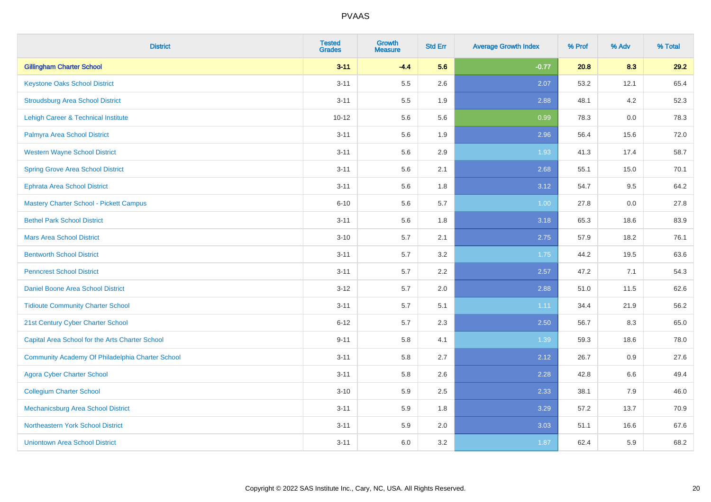| <b>District</b>                                  | <b>Tested</b><br><b>Grades</b> | <b>Growth</b><br><b>Measure</b> | <b>Std Err</b> | <b>Average Growth Index</b> | % Prof | % Adv | % Total |
|--------------------------------------------------|--------------------------------|---------------------------------|----------------|-----------------------------|--------|-------|---------|
| <b>Gillingham Charter School</b>                 | $3 - 11$                       | $-4.4$                          | 5.6            | $-0.77$                     | 20.8   | 8.3   | 29.2    |
| <b>Keystone Oaks School District</b>             | $3 - 11$                       | 5.5                             | 2.6            | 2.07                        | 53.2   | 12.1  | 65.4    |
| <b>Stroudsburg Area School District</b>          | $3 - 11$                       | 5.5                             | 1.9            | 2.88                        | 48.1   | 4.2   | 52.3    |
| <b>Lehigh Career &amp; Technical Institute</b>   | $10 - 12$                      | 5.6                             | 5.6            | 0.99                        | 78.3   | 0.0   | 78.3    |
| Palmyra Area School District                     | $3 - 11$                       | 5.6                             | 1.9            | 2.96                        | 56.4   | 15.6  | 72.0    |
| <b>Western Wayne School District</b>             | $3 - 11$                       | 5.6                             | 2.9            | 1.93                        | 41.3   | 17.4  | 58.7    |
| <b>Spring Grove Area School District</b>         | $3 - 11$                       | 5.6                             | 2.1            | 2.68                        | 55.1   | 15.0  | 70.1    |
| <b>Ephrata Area School District</b>              | $3 - 11$                       | 5.6                             | 1.8            | 3.12                        | 54.7   | 9.5   | 64.2    |
| <b>Mastery Charter School - Pickett Campus</b>   | $6 - 10$                       | 5.6                             | 5.7            | 1.00                        | 27.8   | 0.0   | 27.8    |
| <b>Bethel Park School District</b>               | $3 - 11$                       | 5.6                             | 1.8            | 3.18                        | 65.3   | 18.6  | 83.9    |
| <b>Mars Area School District</b>                 | $3 - 10$                       | 5.7                             | 2.1            | 2.75                        | 57.9   | 18.2  | 76.1    |
| <b>Bentworth School District</b>                 | $3 - 11$                       | 5.7                             | 3.2            | 1.75                        | 44.2   | 19.5  | 63.6    |
| <b>Penncrest School District</b>                 | $3 - 11$                       | 5.7                             | 2.2            | 2.57                        | 47.2   | 7.1   | 54.3    |
| Daniel Boone Area School District                | $3 - 12$                       | 5.7                             | 2.0            | 2.88                        | 51.0   | 11.5  | 62.6    |
| <b>Tidioute Community Charter School</b>         | $3 - 11$                       | 5.7                             | 5.1            | 1.11                        | 34.4   | 21.9  | 56.2    |
| 21st Century Cyber Charter School                | $6 - 12$                       | 5.7                             | 2.3            | 2.50                        | 56.7   | 8.3   | 65.0    |
| Capital Area School for the Arts Charter School  | $9 - 11$                       | 5.8                             | 4.1            | 1.39                        | 59.3   | 18.6  | 78.0    |
| Community Academy Of Philadelphia Charter School | $3 - 11$                       | 5.8                             | 2.7            | 2.12                        | 26.7   | 0.9   | 27.6    |
| <b>Agora Cyber Charter School</b>                | $3 - 11$                       | 5.8                             | 2.6            | 2.28                        | 42.8   | 6.6   | 49.4    |
| <b>Collegium Charter School</b>                  | $3 - 10$                       | 5.9                             | 2.5            | 2.33                        | 38.1   | 7.9   | 46.0    |
| Mechanicsburg Area School District               | $3 - 11$                       | 5.9                             | 1.8            | 3.29                        | 57.2   | 13.7  | 70.9    |
| Northeastern York School District                | $3 - 11$                       | 5.9                             | 2.0            | 3.03                        | 51.1   | 16.6  | 67.6    |
| <b>Uniontown Area School District</b>            | $3 - 11$                       | 6.0                             | 3.2            | 1.87                        | 62.4   | 5.9   | 68.2    |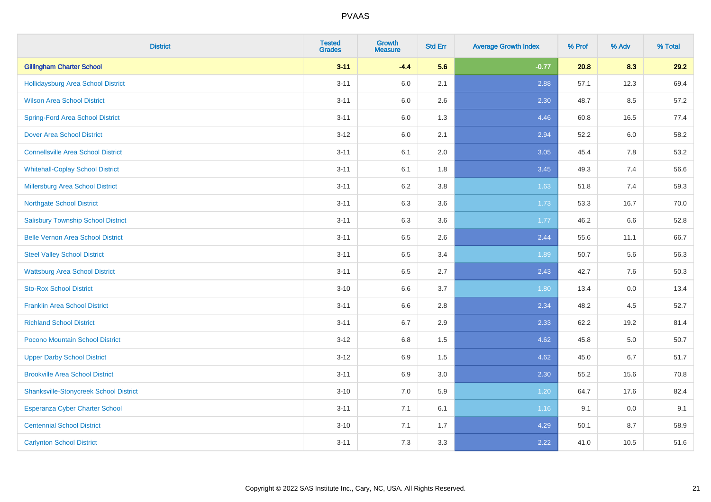| <b>District</b>                               | <b>Tested</b><br><b>Grades</b> | <b>Growth</b><br><b>Measure</b> | <b>Std Err</b> | <b>Average Growth Index</b> | % Prof | % Adv   | % Total |
|-----------------------------------------------|--------------------------------|---------------------------------|----------------|-----------------------------|--------|---------|---------|
| <b>Gillingham Charter School</b>              | $3 - 11$                       | $-4.4$                          | 5.6            | $-0.77$                     | 20.8   | 8.3     | 29.2    |
| Hollidaysburg Area School District            | $3 - 11$                       | 6.0                             | 2.1            | 2.88                        | 57.1   | 12.3    | 69.4    |
| <b>Wilson Area School District</b>            | $3 - 11$                       | 6.0                             | 2.6            | 2.30                        | 48.7   | 8.5     | 57.2    |
| <b>Spring-Ford Area School District</b>       | $3 - 11$                       | $6.0\,$                         | 1.3            | 4.46                        | 60.8   | 16.5    | 77.4    |
| <b>Dover Area School District</b>             | $3 - 12$                       | 6.0                             | 2.1            | 2.94                        | 52.2   | 6.0     | 58.2    |
| <b>Connellsville Area School District</b>     | $3 - 11$                       | 6.1                             | 2.0            | 3.05                        | 45.4   | 7.8     | 53.2    |
| <b>Whitehall-Coplay School District</b>       | $3 - 11$                       | 6.1                             | 1.8            | 3.45                        | 49.3   | 7.4     | 56.6    |
| <b>Millersburg Area School District</b>       | $3 - 11$                       | 6.2                             | 3.8            | 1.63                        | 51.8   | 7.4     | 59.3    |
| <b>Northgate School District</b>              | $3 - 11$                       | 6.3                             | 3.6            | 1.73                        | 53.3   | 16.7    | 70.0    |
| <b>Salisbury Township School District</b>     | $3 - 11$                       | 6.3                             | 3.6            | 1.77                        | 46.2   | 6.6     | 52.8    |
| <b>Belle Vernon Area School District</b>      | $3 - 11$                       | 6.5                             | 2.6            | 2.44                        | 55.6   | 11.1    | 66.7    |
| <b>Steel Valley School District</b>           | $3 - 11$                       | 6.5                             | 3.4            | 1.89                        | 50.7   | 5.6     | 56.3    |
| <b>Wattsburg Area School District</b>         | $3 - 11$                       | 6.5                             | 2.7            | 2.43                        | 42.7   | 7.6     | 50.3    |
| <b>Sto-Rox School District</b>                | $3 - 10$                       | 6.6                             | 3.7            | 1.80                        | 13.4   | $0.0\,$ | 13.4    |
| <b>Franklin Area School District</b>          | $3 - 11$                       | 6.6                             | 2.8            | 2.34                        | 48.2   | 4.5     | 52.7    |
| <b>Richland School District</b>               | $3 - 11$                       | 6.7                             | 2.9            | 2.33                        | 62.2   | 19.2    | 81.4    |
| Pocono Mountain School District               | $3 - 12$                       | 6.8                             | 1.5            | 4.62                        | 45.8   | 5.0     | 50.7    |
| <b>Upper Darby School District</b>            | $3 - 12$                       | 6.9                             | 1.5            | 4.62                        | 45.0   | 6.7     | 51.7    |
| <b>Brookville Area School District</b>        | $3 - 11$                       | 6.9                             | 3.0            | 2.30                        | 55.2   | 15.6    | 70.8    |
| <b>Shanksville-Stonycreek School District</b> | $3 - 10$                       | 7.0                             | 5.9            | 1.20                        | 64.7   | 17.6    | 82.4    |
| <b>Esperanza Cyber Charter School</b>         | $3 - 11$                       | 7.1                             | 6.1            | 1.16                        | 9.1    | 0.0     | 9.1     |
| <b>Centennial School District</b>             | $3 - 10$                       | 7.1                             | 1.7            | 4.29                        | 50.1   | 8.7     | 58.9    |
| <b>Carlynton School District</b>              | $3 - 11$                       | 7.3                             | 3.3            | 2.22                        | 41.0   | 10.5    | 51.6    |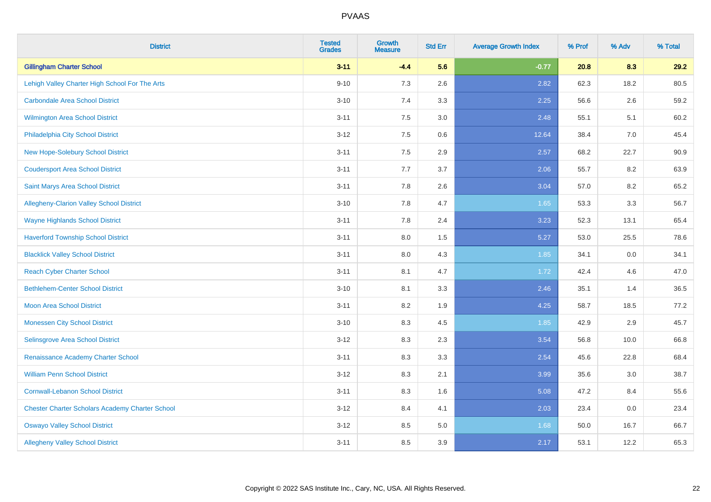| <b>District</b>                                        | <b>Tested</b><br><b>Grades</b> | <b>Growth</b><br><b>Measure</b> | <b>Std Err</b> | <b>Average Growth Index</b> | % Prof | % Adv | % Total |
|--------------------------------------------------------|--------------------------------|---------------------------------|----------------|-----------------------------|--------|-------|---------|
| <b>Gillingham Charter School</b>                       | $3 - 11$                       | $-4.4$                          | 5.6            | $-0.77$                     | 20.8   | 8.3   | 29.2    |
| Lehigh Valley Charter High School For The Arts         | $9 - 10$                       | $7.3$                           | 2.6            | 2.82                        | 62.3   | 18.2  | 80.5    |
| <b>Carbondale Area School District</b>                 | $3 - 10$                       | 7.4                             | 3.3            | 2.25                        | 56.6   | 2.6   | 59.2    |
| Wilmington Area School District                        | $3 - 11$                       | $7.5\,$                         | 3.0            | 2.48                        | 55.1   | 5.1   | 60.2    |
| Philadelphia City School District                      | $3 - 12$                       | 7.5                             | 0.6            | 12.64                       | 38.4   | 7.0   | 45.4    |
| <b>New Hope-Solebury School District</b>               | $3 - 11$                       | 7.5                             | 2.9            | 2.57                        | 68.2   | 22.7  | 90.9    |
| <b>Coudersport Area School District</b>                | $3 - 11$                       | 7.7                             | 3.7            | 2.06                        | 55.7   | 8.2   | 63.9    |
| Saint Marys Area School District                       | $3 - 11$                       | 7.8                             | 2.6            | 3.04                        | 57.0   | 8.2   | 65.2    |
| Allegheny-Clarion Valley School District               | $3 - 10$                       | 7.8                             | 4.7            | 1.65                        | 53.3   | 3.3   | 56.7    |
| <b>Wayne Highlands School District</b>                 | $3 - 11$                       | 7.8                             | 2.4            | 3.23                        | 52.3   | 13.1  | 65.4    |
| <b>Haverford Township School District</b>              | $3 - 11$                       | 8.0                             | 1.5            | 5.27                        | 53.0   | 25.5  | 78.6    |
| <b>Blacklick Valley School District</b>                | $3 - 11$                       | 8.0                             | 4.3            | 1.85                        | 34.1   | 0.0   | 34.1    |
| <b>Reach Cyber Charter School</b>                      | $3 - 11$                       | 8.1                             | 4.7            | 1.72                        | 42.4   | 4.6   | 47.0    |
| <b>Bethlehem-Center School District</b>                | $3 - 10$                       | 8.1                             | 3.3            | 2.46                        | 35.1   | 1.4   | 36.5    |
| <b>Moon Area School District</b>                       | $3 - 11$                       | 8.2                             | 1.9            | 4.25                        | 58.7   | 18.5  | 77.2    |
| <b>Monessen City School District</b>                   | $3 - 10$                       | 8.3                             | 4.5            | 1.85                        | 42.9   | 2.9   | 45.7    |
| Selinsgrove Area School District                       | $3 - 12$                       | 8.3                             | 2.3            | 3.54                        | 56.8   | 10.0  | 66.8    |
| Renaissance Academy Charter School                     | $3 - 11$                       | 8.3                             | 3.3            | 2.54                        | 45.6   | 22.8  | 68.4    |
| <b>William Penn School District</b>                    | $3 - 12$                       | 8.3                             | 2.1            | 3.99                        | 35.6   | 3.0   | 38.7    |
| <b>Cornwall-Lebanon School District</b>                | $3 - 11$                       | 8.3                             | 1.6            | 5.08                        | 47.2   | 8.4   | 55.6    |
| <b>Chester Charter Scholars Academy Charter School</b> | $3 - 12$                       | 8.4                             | 4.1            | 2.03                        | 23.4   | 0.0   | 23.4    |
| <b>Oswayo Valley School District</b>                   | $3 - 12$                       | 8.5                             | 5.0            | 1.68                        | 50.0   | 16.7  | 66.7    |
| <b>Allegheny Valley School District</b>                | $3 - 11$                       | 8.5                             | 3.9            | 2.17                        | 53.1   | 12.2  | 65.3    |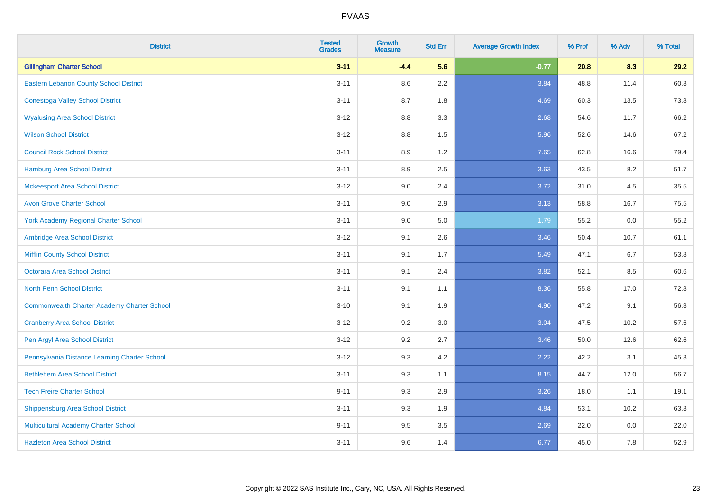| <b>District</b>                                    | <b>Tested</b><br><b>Grades</b> | <b>Growth</b><br><b>Measure</b> | <b>Std Err</b> | <b>Average Growth Index</b> | % Prof | % Adv | % Total |
|----------------------------------------------------|--------------------------------|---------------------------------|----------------|-----------------------------|--------|-------|---------|
| <b>Gillingham Charter School</b>                   | $3 - 11$                       | $-4.4$                          | 5.6            | $-0.77$                     | 20.8   | 8.3   | 29.2    |
| <b>Eastern Lebanon County School District</b>      | $3 - 11$                       | 8.6                             | 2.2            | 3.84                        | 48.8   | 11.4  | 60.3    |
| <b>Conestoga Valley School District</b>            | $3 - 11$                       | 8.7                             | 1.8            | 4.69                        | 60.3   | 13.5  | 73.8    |
| <b>Wyalusing Area School District</b>              | $3-12$                         | 8.8                             | 3.3            | 2.68                        | 54.6   | 11.7  | 66.2    |
| <b>Wilson School District</b>                      | $3-12$                         | 8.8                             | 1.5            | 5.96                        | 52.6   | 14.6  | 67.2    |
| <b>Council Rock School District</b>                | $3 - 11$                       | 8.9                             | 1.2            | 7.65                        | 62.8   | 16.6  | 79.4    |
| Hamburg Area School District                       | $3 - 11$                       | 8.9                             | 2.5            | 3.63                        | 43.5   | 8.2   | 51.7    |
| <b>Mckeesport Area School District</b>             | $3-12$                         | 9.0                             | 2.4            | 3.72                        | 31.0   | 4.5   | 35.5    |
| <b>Avon Grove Charter School</b>                   | $3 - 11$                       | 9.0                             | 2.9            | 3.13                        | 58.8   | 16.7  | 75.5    |
| <b>York Academy Regional Charter School</b>        | $3 - 11$                       | 9.0                             | 5.0            | 1.79                        | 55.2   | 0.0   | 55.2    |
| Ambridge Area School District                      | $3 - 12$                       | 9.1                             | 2.6            | 3.46                        | 50.4   | 10.7  | 61.1    |
| <b>Mifflin County School District</b>              | $3 - 11$                       | 9.1                             | 1.7            | 5.49                        | 47.1   | 6.7   | 53.8    |
| Octorara Area School District                      | $3 - 11$                       | 9.1                             | 2.4            | 3.82                        | 52.1   | 8.5   | 60.6    |
| <b>North Penn School District</b>                  | $3 - 11$                       | 9.1                             | 1.1            | 8.36                        | 55.8   | 17.0  | 72.8    |
| <b>Commonwealth Charter Academy Charter School</b> | $3 - 10$                       | 9.1                             | 1.9            | 4.90                        | 47.2   | 9.1   | 56.3    |
| <b>Cranberry Area School District</b>              | $3 - 12$                       | 9.2                             | 3.0            | 3.04                        | 47.5   | 10.2  | 57.6    |
| Pen Argyl Area School District                     | $3 - 12$                       | 9.2                             | 2.7            | 3.46                        | 50.0   | 12.6  | 62.6    |
| Pennsylvania Distance Learning Charter School      | $3-12$                         | 9.3                             | 4.2            | 2.22                        | 42.2   | 3.1   | 45.3    |
| <b>Bethlehem Area School District</b>              | $3 - 11$                       | 9.3                             | 1.1            | 8.15                        | 44.7   | 12.0  | 56.7    |
| <b>Tech Freire Charter School</b>                  | $9 - 11$                       | 9.3                             | 2.9            | 3.26                        | 18.0   | 1.1   | 19.1    |
| <b>Shippensburg Area School District</b>           | $3 - 11$                       | 9.3                             | 1.9            | 4.84                        | 53.1   | 10.2  | 63.3    |
| Multicultural Academy Charter School               | $9 - 11$                       | 9.5                             | 3.5            | 2.69                        | 22.0   | 0.0   | 22.0    |
| <b>Hazleton Area School District</b>               | $3 - 11$                       | 9.6                             | 1.4            | 6.77                        | 45.0   | 7.8   | 52.9    |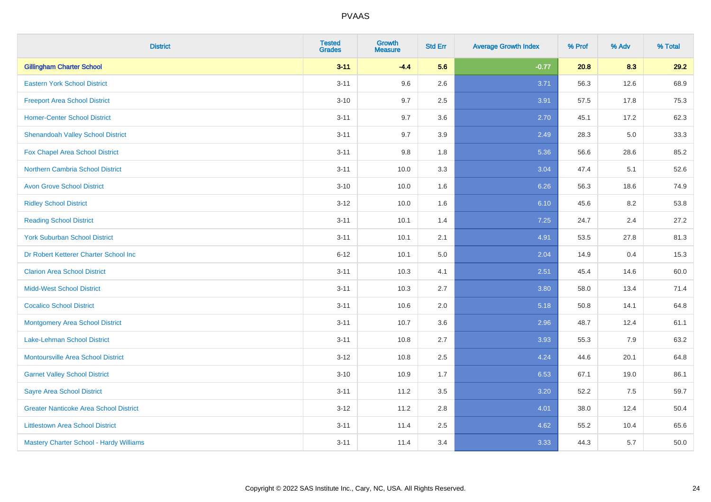| <b>District</b>                               | <b>Tested</b><br><b>Grades</b> | <b>Growth</b><br><b>Measure</b> | <b>Std Err</b> | <b>Average Growth Index</b> | % Prof | % Adv | % Total |
|-----------------------------------------------|--------------------------------|---------------------------------|----------------|-----------------------------|--------|-------|---------|
| <b>Gillingham Charter School</b>              | $3 - 11$                       | $-4.4$                          | 5.6            | $-0.77$                     | 20.8   | 8.3   | 29.2    |
| <b>Eastern York School District</b>           | $3 - 11$                       | 9.6                             | 2.6            | 3.71                        | 56.3   | 12.6  | 68.9    |
| <b>Freeport Area School District</b>          | $3 - 10$                       | 9.7                             | 2.5            | 3.91                        | 57.5   | 17.8  | 75.3    |
| <b>Homer-Center School District</b>           | $3 - 11$                       | 9.7                             | 3.6            | 2.70                        | 45.1   | 17.2  | 62.3    |
| <b>Shenandoah Valley School District</b>      | $3 - 11$                       | 9.7                             | 3.9            | 2.49                        | 28.3   | 5.0   | 33.3    |
| Fox Chapel Area School District               | $3 - 11$                       | 9.8                             | 1.8            | 5.36                        | 56.6   | 28.6  | 85.2    |
| <b>Northern Cambria School District</b>       | $3 - 11$                       | 10.0                            | 3.3            | 3.04                        | 47.4   | 5.1   | 52.6    |
| <b>Avon Grove School District</b>             | $3 - 10$                       | 10.0                            | 1.6            | 6.26                        | 56.3   | 18.6  | 74.9    |
| <b>Ridley School District</b>                 | $3 - 12$                       | 10.0                            | 1.6            | 6.10                        | 45.6   | 8.2   | 53.8    |
| <b>Reading School District</b>                | $3 - 11$                       | 10.1                            | 1.4            | 7.25                        | 24.7   | 2.4   | 27.2    |
| <b>York Suburban School District</b>          | $3 - 11$                       | 10.1                            | 2.1            | 4.91                        | 53.5   | 27.8  | 81.3    |
| Dr Robert Ketterer Charter School Inc         | $6 - 12$                       | 10.1                            | 5.0            | 2.04                        | 14.9   | 0.4   | 15.3    |
| <b>Clarion Area School District</b>           | $3 - 11$                       | 10.3                            | 4.1            | 2.51                        | 45.4   | 14.6  | 60.0    |
| <b>Midd-West School District</b>              | $3 - 11$                       | 10.3                            | 2.7            | 3.80                        | 58.0   | 13.4  | 71.4    |
| <b>Cocalico School District</b>               | $3 - 11$                       | 10.6                            | 2.0            | 5.18                        | 50.8   | 14.1  | 64.8    |
| <b>Montgomery Area School District</b>        | $3 - 11$                       | 10.7                            | 3.6            | 2.96                        | 48.7   | 12.4  | 61.1    |
| Lake-Lehman School District                   | $3 - 11$                       | 10.8                            | 2.7            | 3.93                        | 55.3   | 7.9   | 63.2    |
| <b>Montoursville Area School District</b>     | $3 - 12$                       | 10.8                            | 2.5            | 4.24                        | 44.6   | 20.1  | 64.8    |
| <b>Garnet Valley School District</b>          | $3 - 10$                       | 10.9                            | 1.7            | 6.53                        | 67.1   | 19.0  | 86.1    |
| <b>Sayre Area School District</b>             | $3 - 11$                       | 11.2                            | 3.5            | 3.20                        | 52.2   | 7.5   | 59.7    |
| <b>Greater Nanticoke Area School District</b> | $3-12$                         | 11.2                            | 2.8            | 4.01                        | 38.0   | 12.4  | 50.4    |
| <b>Littlestown Area School District</b>       | $3 - 11$                       | 11.4                            | 2.5            | 4.62                        | 55.2   | 10.4  | 65.6    |
| Mastery Charter School - Hardy Williams       | $3 - 11$                       | 11.4                            | 3.4            | 3.33                        | 44.3   | 5.7   | 50.0    |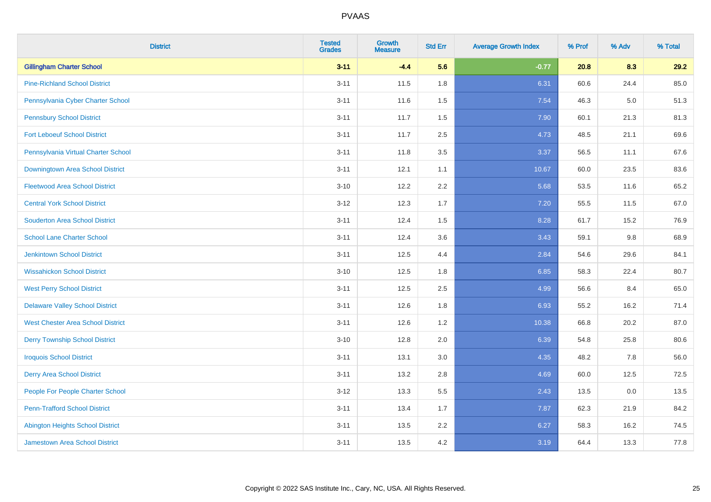| <b>District</b>                          | <b>Tested</b><br><b>Grades</b> | <b>Growth</b><br><b>Measure</b> | <b>Std Err</b> | <b>Average Growth Index</b> | % Prof | % Adv | % Total |
|------------------------------------------|--------------------------------|---------------------------------|----------------|-----------------------------|--------|-------|---------|
| <b>Gillingham Charter School</b>         | $3 - 11$                       | $-4.4$                          | 5.6            | $-0.77$                     | 20.8   | 8.3   | 29.2    |
| <b>Pine-Richland School District</b>     | $3 - 11$                       | 11.5                            | 1.8            | 6.31                        | 60.6   | 24.4  | 85.0    |
| Pennsylvania Cyber Charter School        | $3 - 11$                       | 11.6                            | 1.5            | 7.54                        | 46.3   | 5.0   | 51.3    |
| <b>Pennsbury School District</b>         | $3 - 11$                       | 11.7                            | 1.5            | 7.90                        | 60.1   | 21.3  | 81.3    |
| <b>Fort Leboeuf School District</b>      | $3 - 11$                       | 11.7                            | 2.5            | 4.73                        | 48.5   | 21.1  | 69.6    |
| Pennsylvania Virtual Charter School      | $3 - 11$                       | 11.8                            | 3.5            | 3.37                        | 56.5   | 11.1  | 67.6    |
| Downingtown Area School District         | $3 - 11$                       | 12.1                            | 1.1            | 10.67                       | 60.0   | 23.5  | 83.6    |
| <b>Fleetwood Area School District</b>    | $3 - 10$                       | 12.2                            | 2.2            | 5.68                        | 53.5   | 11.6  | 65.2    |
| <b>Central York School District</b>      | $3 - 12$                       | 12.3                            | 1.7            | 7.20                        | 55.5   | 11.5  | 67.0    |
| <b>Souderton Area School District</b>    | $3 - 11$                       | 12.4                            | 1.5            | 8.28                        | 61.7   | 15.2  | 76.9    |
| <b>School Lane Charter School</b>        | $3 - 11$                       | 12.4                            | 3.6            | 3.43                        | 59.1   | 9.8   | 68.9    |
| <b>Jenkintown School District</b>        | $3 - 11$                       | 12.5                            | 4.4            | 2.84                        | 54.6   | 29.6  | 84.1    |
| <b>Wissahickon School District</b>       | $3 - 10$                       | 12.5                            | 1.8            | 6.85                        | 58.3   | 22.4  | 80.7    |
| <b>West Perry School District</b>        | $3 - 11$                       | 12.5                            | 2.5            | 4.99                        | 56.6   | 8.4   | 65.0    |
| <b>Delaware Valley School District</b>   | $3 - 11$                       | 12.6                            | 1.8            | 6.93                        | 55.2   | 16.2  | 71.4    |
| <b>West Chester Area School District</b> | $3 - 11$                       | 12.6                            | 1.2            | 10.38                       | 66.8   | 20.2  | 87.0    |
| <b>Derry Township School District</b>    | $3 - 10$                       | 12.8                            | 2.0            | 6.39                        | 54.8   | 25.8  | 80.6    |
| <b>Iroquois School District</b>          | $3 - 11$                       | 13.1                            | 3.0            | 4.35                        | 48.2   | 7.8   | 56.0    |
| <b>Derry Area School District</b>        | $3 - 11$                       | 13.2                            | 2.8            | 4.69                        | 60.0   | 12.5  | 72.5    |
| People For People Charter School         | $3 - 12$                       | 13.3                            | 5.5            | 2.43                        | 13.5   | 0.0   | 13.5    |
| <b>Penn-Trafford School District</b>     | $3 - 11$                       | 13.4                            | 1.7            | 7.87                        | 62.3   | 21.9  | 84.2    |
| <b>Abington Heights School District</b>  | $3 - 11$                       | 13.5                            | 2.2            | 6.27                        | 58.3   | 16.2  | 74.5    |
| <b>Jamestown Area School District</b>    | $3 - 11$                       | 13.5                            | 4.2            | 3.19                        | 64.4   | 13.3  | 77.8    |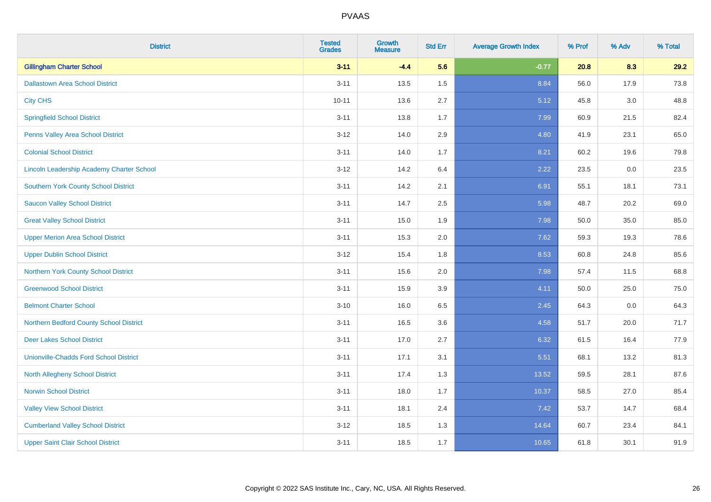| <b>District</b>                                  | <b>Tested</b><br><b>Grades</b> | <b>Growth</b><br><b>Measure</b> | <b>Std Err</b> | <b>Average Growth Index</b> | % Prof | % Adv   | % Total |
|--------------------------------------------------|--------------------------------|---------------------------------|----------------|-----------------------------|--------|---------|---------|
| <b>Gillingham Charter School</b>                 | $3 - 11$                       | $-4.4$                          | 5.6            | $-0.77$                     | 20.8   | 8.3     | 29.2    |
| <b>Dallastown Area School District</b>           | $3 - 11$                       | 13.5                            | 1.5            | 8.84                        | 56.0   | 17.9    | 73.8    |
| <b>City CHS</b>                                  | $10 - 11$                      | 13.6                            | 2.7            | 5.12                        | 45.8   | 3.0     | 48.8    |
| <b>Springfield School District</b>               | $3 - 11$                       | 13.8                            | 1.7            | 7.99                        | 60.9   | 21.5    | 82.4    |
| Penns Valley Area School District                | $3 - 12$                       | 14.0                            | 2.9            | 4.80                        | 41.9   | 23.1    | 65.0    |
| <b>Colonial School District</b>                  | $3 - 11$                       | 14.0                            | 1.7            | 8.21                        | 60.2   | 19.6    | 79.8    |
| <b>Lincoln Leadership Academy Charter School</b> | $3 - 12$                       | 14.2                            | 6.4            | 2.22                        | 23.5   | $0.0\,$ | 23.5    |
| <b>Southern York County School District</b>      | $3 - 11$                       | 14.2                            | 2.1            | 6.91                        | 55.1   | 18.1    | 73.1    |
| <b>Saucon Valley School District</b>             | $3 - 11$                       | 14.7                            | 2.5            | 5.98                        | 48.7   | 20.2    | 69.0    |
| <b>Great Valley School District</b>              | $3 - 11$                       | 15.0                            | 1.9            | 7.98                        | 50.0   | 35.0    | 85.0    |
| <b>Upper Merion Area School District</b>         | $3 - 11$                       | 15.3                            | 2.0            | 7.62                        | 59.3   | 19.3    | 78.6    |
| <b>Upper Dublin School District</b>              | $3 - 12$                       | 15.4                            | 1.8            | 8.53                        | 60.8   | 24.8    | 85.6    |
| Northern York County School District             | $3 - 11$                       | 15.6                            | 2.0            | 7.98                        | 57.4   | 11.5    | 68.8    |
| <b>Greenwood School District</b>                 | $3 - 11$                       | 15.9                            | 3.9            | 4.11                        | 50.0   | 25.0    | 75.0    |
| <b>Belmont Charter School</b>                    | $3 - 10$                       | 16.0                            | 6.5            | 2.45                        | 64.3   | 0.0     | 64.3    |
| Northern Bedford County School District          | $3 - 11$                       | 16.5                            | 3.6            | 4.58                        | 51.7   | 20.0    | 71.7    |
| <b>Deer Lakes School District</b>                | $3 - 11$                       | 17.0                            | 2.7            | 6.32                        | 61.5   | 16.4    | 77.9    |
| <b>Unionville-Chadds Ford School District</b>    | $3 - 11$                       | 17.1                            | 3.1            | 5.51                        | 68.1   | 13.2    | 81.3    |
| <b>North Allegheny School District</b>           | $3 - 11$                       | 17.4                            | 1.3            | 13.52                       | 59.5   | 28.1    | 87.6    |
| <b>Norwin School District</b>                    | $3 - 11$                       | 18.0                            | 1.7            | 10.37                       | 58.5   | 27.0    | 85.4    |
| <b>Valley View School District</b>               | $3 - 11$                       | 18.1                            | 2.4            | 7.42                        | 53.7   | 14.7    | 68.4    |
| <b>Cumberland Valley School District</b>         | $3 - 12$                       | 18.5                            | 1.3            | 14.64                       | 60.7   | 23.4    | 84.1    |
| <b>Upper Saint Clair School District</b>         | $3 - 11$                       | 18.5                            | 1.7            | 10.65                       | 61.8   | 30.1    | 91.9    |